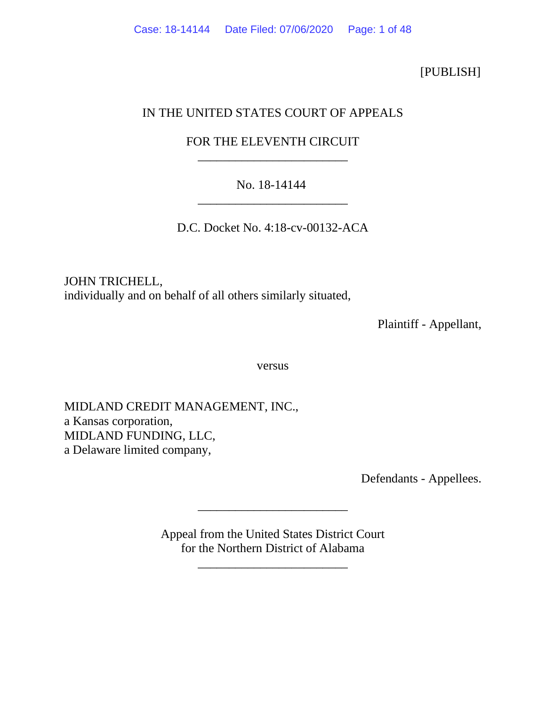[PUBLISH]

## IN THE UNITED STATES COURT OF APPEALS

# FOR THE ELEVENTH CIRCUIT \_\_\_\_\_\_\_\_\_\_\_\_\_\_\_\_\_\_\_\_\_\_\_\_

# No. 18-14144 \_\_\_\_\_\_\_\_\_\_\_\_\_\_\_\_\_\_\_\_\_\_\_\_

D.C. Docket No. 4:18-cv-00132-ACA

JOHN TRICHELL, individually and on behalf of all others similarly situated,

Plaintiff - Appellant,

versus

MIDLAND CREDIT MANAGEMENT, INC., a Kansas corporation, MIDLAND FUNDING, LLC, a Delaware limited company,

Defendants - Appellees.

Appeal from the United States District Court for the Northern District of Alabama

\_\_\_\_\_\_\_\_\_\_\_\_\_\_\_\_\_\_\_\_\_\_\_\_

\_\_\_\_\_\_\_\_\_\_\_\_\_\_\_\_\_\_\_\_\_\_\_\_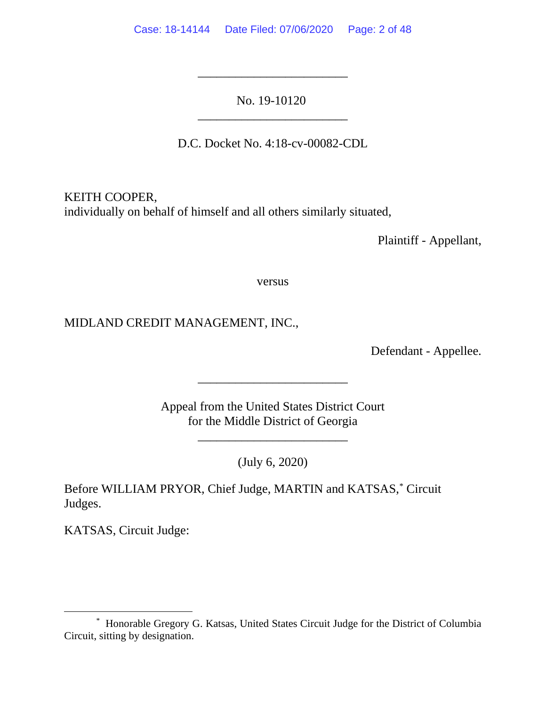No. 19-10120 \_\_\_\_\_\_\_\_\_\_\_\_\_\_\_\_\_\_\_\_\_\_\_\_

\_\_\_\_\_\_\_\_\_\_\_\_\_\_\_\_\_\_\_\_\_\_\_\_

D.C. Docket No. 4:18-cv-00082-CDL

KEITH COOPER, individually on behalf of himself and all others similarly situated,

Plaintiff - Appellant,

versus

MIDLAND CREDIT MANAGEMENT, INC.,

Defendant - Appellee.

Appeal from the United States District Court for the Middle District of Georgia

\_\_\_\_\_\_\_\_\_\_\_\_\_\_\_\_\_\_\_\_\_\_\_\_

\_\_\_\_\_\_\_\_\_\_\_\_\_\_\_\_\_\_\_\_\_\_\_\_

(July 6, 2020)

Before WILLIAM PRYOR, Chief Judge, MARTIN and KATSAS, [\\*](#page-1-0) Circuit Judges.

KATSAS, Circuit Judge:

<span id="page-1-0"></span><sup>\*</sup> Honorable Gregory G. Katsas, United States Circuit Judge for the District of Columbia Circuit, sitting by designation.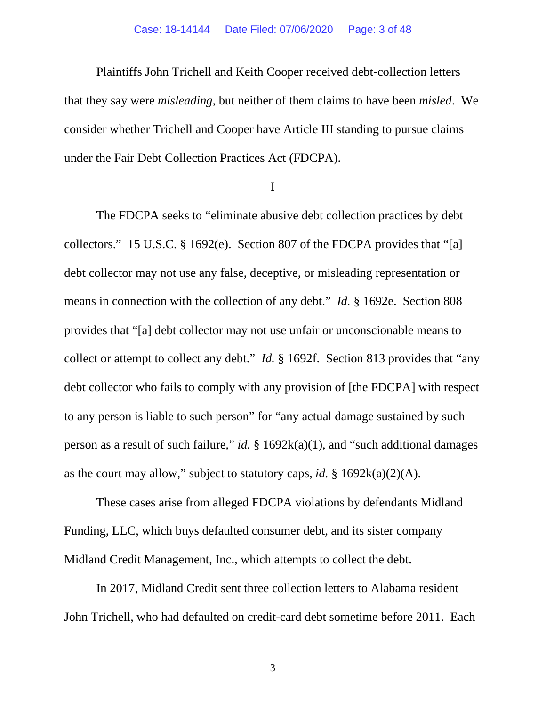#### Case: 18-14144 Date Filed: 07/06/2020 Page: 3 of 48

Plaintiffs John Trichell and Keith Cooper received debt-collection letters that they say were *misleading*, but neither of them claims to have been *misled*. We consider whether Trichell and Cooper have Article III standing to pursue claims under the Fair Debt Collection Practices Act (FDCPA).

I

The FDCPA seeks to "eliminate abusive debt collection practices by debt collectors." 15 U.S.C. § 1692(e). Section 807 of the FDCPA provides that "[a] debt collector may not use any false, deceptive, or misleading representation or means in connection with the collection of any debt." *Id.* § 1692e. Section 808 provides that "[a] debt collector may not use unfair or unconscionable means to collect or attempt to collect any debt." *Id.* § 1692f. Section 813 provides that "any debt collector who fails to comply with any provision of [the FDCPA] with respect to any person is liable to such person" for "any actual damage sustained by such person as a result of such failure," *id.* § 1692k(a)(1), and "such additional damages as the court may allow," subject to statutory caps, *id.* § 1692k(a)(2)(A).

These cases arise from alleged FDCPA violations by defendants Midland Funding, LLC, which buys defaulted consumer debt, and its sister company Midland Credit Management, Inc., which attempts to collect the debt.

In 2017, Midland Credit sent three collection letters to Alabama resident John Trichell, who had defaulted on credit-card debt sometime before 2011. Each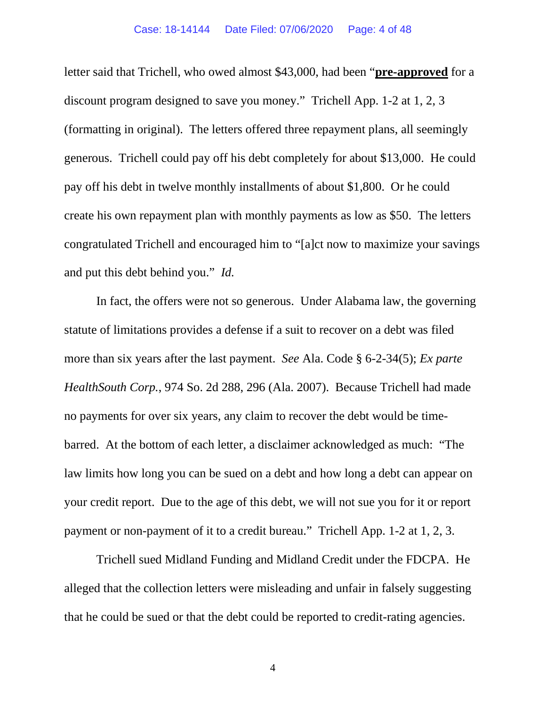#### Case: 18-14144 Date Filed: 07/06/2020 Page: 4 of 48

letter said that Trichell, who owed almost \$43,000, had been "**pre-approved** for a discount program designed to save you money." Trichell App. 1-2 at 1, 2, 3 (formatting in original). The letters offered three repayment plans, all seemingly generous. Trichell could pay off his debt completely for about \$13,000. He could pay off his debt in twelve monthly installments of about \$1,800. Or he could create his own repayment plan with monthly payments as low as \$50. The letters congratulated Trichell and encouraged him to "[a]ct now to maximize your savings and put this debt behind you." *Id.*

In fact, the offers were not so generous. Under Alabama law, the governing statute of limitations provides a defense if a suit to recover on a debt was filed more than six years after the last payment. *See* Ala. Code § 6-2-34(5); *Ex parte HealthSouth Corp.*, 974 So. 2d 288, 296 (Ala. 2007). Because Trichell had made no payments for over six years, any claim to recover the debt would be timebarred. At the bottom of each letter, a disclaimer acknowledged as much: "The law limits how long you can be sued on a debt and how long a debt can appear on your credit report. Due to the age of this debt, we will not sue you for it or report payment or non-payment of it to a credit bureau." Trichell App. 1-2 at 1, 2, 3.

Trichell sued Midland Funding and Midland Credit under the FDCPA. He alleged that the collection letters were misleading and unfair in falsely suggesting that he could be sued or that the debt could be reported to credit-rating agencies.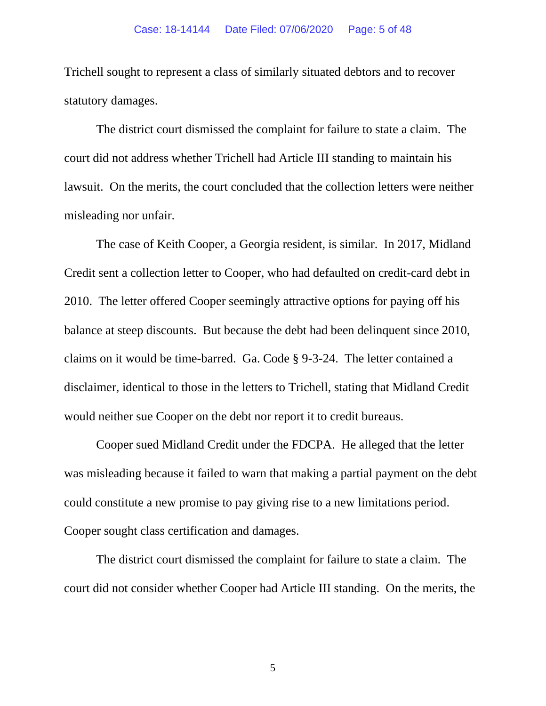#### Case: 18-14144 Date Filed: 07/06/2020 Page: 5 of 48

Trichell sought to represent a class of similarly situated debtors and to recover statutory damages.

The district court dismissed the complaint for failure to state a claim. The court did not address whether Trichell had Article III standing to maintain his lawsuit. On the merits, the court concluded that the collection letters were neither misleading nor unfair.

The case of Keith Cooper, a Georgia resident, is similar. In 2017, Midland Credit sent a collection letter to Cooper, who had defaulted on credit-card debt in 2010. The letter offered Cooper seemingly attractive options for paying off his balance at steep discounts. But because the debt had been delinquent since 2010, claims on it would be time-barred. Ga. Code § 9-3-24. The letter contained a disclaimer, identical to those in the letters to Trichell, stating that Midland Credit would neither sue Cooper on the debt nor report it to credit bureaus.

Cooper sued Midland Credit under the FDCPA. He alleged that the letter was misleading because it failed to warn that making a partial payment on the debt could constitute a new promise to pay giving rise to a new limitations period. Cooper sought class certification and damages.

The district court dismissed the complaint for failure to state a claim. The court did not consider whether Cooper had Article III standing. On the merits, the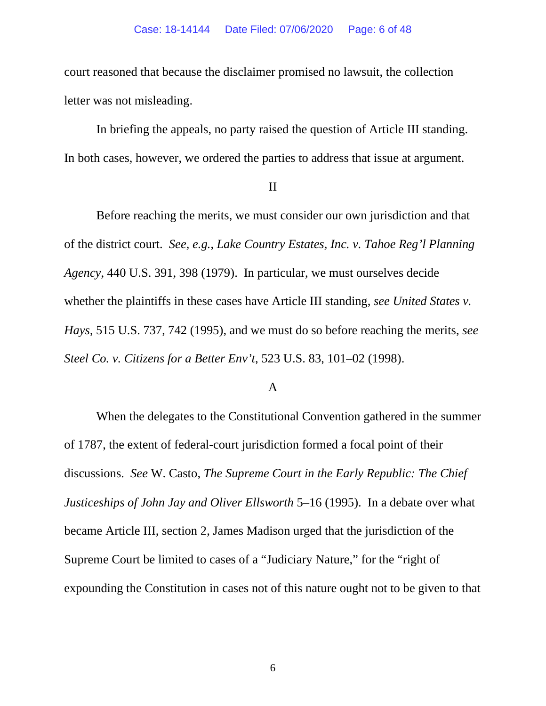court reasoned that because the disclaimer promised no lawsuit, the collection letter was not misleading.

In briefing the appeals, no party raised the question of Article III standing. In both cases, however, we ordered the parties to address that issue at argument.

### II

Before reaching the merits, we must consider our own jurisdiction and that of the district court. *See*, *e.g.*, *Lake Country Estates, Inc. v. Tahoe Reg'l Planning Agency*, 440 U.S. 391, 398 (1979). In particular, we must ourselves decide whether the plaintiffs in these cases have Article III standing, *see United States v. Hays*, 515 U.S. 737, 742 (1995), and we must do so before reaching the merits, *see Steel Co. v. Citizens for a Better Env't*, 523 U.S. 83, 101–02 (1998).

## A

When the delegates to the Constitutional Convention gathered in the summer of 1787, the extent of federal-court jurisdiction formed a focal point of their discussions. *See* W. Casto, *The Supreme Court in the Early Republic: The Chief Justiceships of John Jay and Oliver Ellsworth* 5–16 (1995). In a debate over what became Article III, section 2, James Madison urged that the jurisdiction of the Supreme Court be limited to cases of a "Judiciary Nature," for the "right of expounding the Constitution in cases not of this nature ought not to be given to that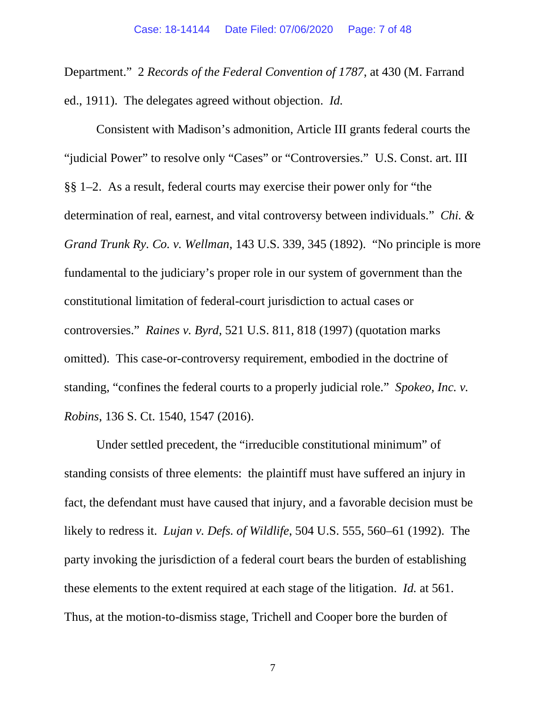Department." 2 *Records of the Federal Convention of 1787*, at 430 (M. Farrand ed., 1911). The delegates agreed without objection. *Id.*

Consistent with Madison's admonition, Article III grants federal courts the "judicial Power" to resolve only "Cases" or "Controversies." U.S. Const. art. III §§ 1–2. As a result, federal courts may exercise their power only for "the determination of real, earnest, and vital controversy between individuals." *Chi. & Grand Trunk Ry. Co. v. Wellman*, 143 U.S. 339, 345 (1892). "No principle is more fundamental to the judiciary's proper role in our system of government than the constitutional limitation of federal-court jurisdiction to actual cases or controversies." *Raines v. Byrd*, 521 U.S. 811, 818 (1997) (quotation marks omitted). This case-or-controversy requirement, embodied in the doctrine of standing, "confines the federal courts to a properly judicial role." *Spokeo, Inc. v. Robins*, 136 S. Ct. 1540, 1547 (2016).

Under settled precedent, the "irreducible constitutional minimum" of standing consists of three elements: the plaintiff must have suffered an injury in fact, the defendant must have caused that injury, and a favorable decision must be likely to redress it. *Lujan v. Defs. of Wildlife*, 504 U.S. 555, 560–61 (1992). The party invoking the jurisdiction of a federal court bears the burden of establishing these elements to the extent required at each stage of the litigation. *Id.* at 561. Thus, at the motion-to-dismiss stage, Trichell and Cooper bore the burden of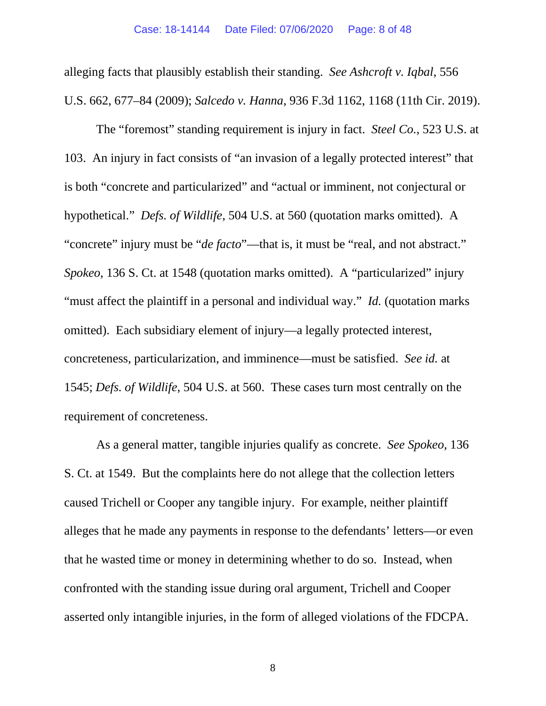alleging facts that plausibly establish their standing. *See Ashcroft v. Iqbal*, 556 U.S. 662, 677–84 (2009); *Salcedo v. Hanna*, 936 F.3d 1162, 1168 (11th Cir. 2019).

The "foremost" standing requirement is injury in fact. *Steel Co.*, 523 U.S. at 103. An injury in fact consists of "an invasion of a legally protected interest" that is both "concrete and particularized" and "actual or imminent, not conjectural or hypothetical." *Defs. of Wildlife*, 504 U.S. at 560 (quotation marks omitted). A "concrete" injury must be "*de facto*"—that is, it must be "real, and not abstract." *Spokeo*, 136 S. Ct. at 1548 (quotation marks omitted). A "particularized" injury "must affect the plaintiff in a personal and individual way." *Id.* (quotation marks) omitted). Each subsidiary element of injury—a legally protected interest, concreteness, particularization, and imminence—must be satisfied. *See id.* at 1545; *Defs. of Wildlife*, 504 U.S. at 560. These cases turn most centrally on the requirement of concreteness.

As a general matter, tangible injuries qualify as concrete. *See Spokeo*, 136 S. Ct. at 1549. But the complaints here do not allege that the collection letters caused Trichell or Cooper any tangible injury. For example, neither plaintiff alleges that he made any payments in response to the defendants' letters—or even that he wasted time or money in determining whether to do so. Instead, when confronted with the standing issue during oral argument, Trichell and Cooper asserted only intangible injuries, in the form of alleged violations of the FDCPA.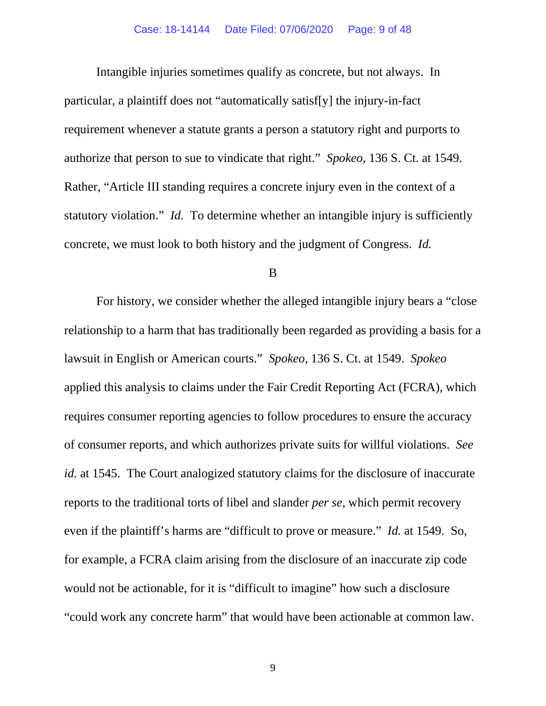Intangible injuries sometimes qualify as concrete, but not always. In particular, a plaintiff does not "automatically satisf[y] the injury-in-fact requirement whenever a statute grants a person a statutory right and purports to authorize that person to sue to vindicate that right." *Spokeo*, 136 S. Ct. at 1549. Rather, "Article III standing requires a concrete injury even in the context of a statutory violation." *Id.* To determine whether an intangible injury is sufficiently concrete, we must look to both history and the judgment of Congress. *Id.*

#### B

For history, we consider whether the alleged intangible injury bears a "close relationship to a harm that has traditionally been regarded as providing a basis for a lawsuit in English or American courts." *Spokeo*, 136 S. Ct. at 1549. *Spokeo* applied this analysis to claims under the Fair Credit Reporting Act (FCRA), which requires consumer reporting agencies to follow procedures to ensure the accuracy of consumer reports, and which authorizes private suits for willful violations. *See id.* at 1545. The Court analogized statutory claims for the disclosure of inaccurate reports to the traditional torts of libel and slander *per se*, which permit recovery even if the plaintiff's harms are "difficult to prove or measure." *Id.* at 1549. So, for example, a FCRA claim arising from the disclosure of an inaccurate zip code would not be actionable, for it is "difficult to imagine" how such a disclosure "could work any concrete harm" that would have been actionable at common law.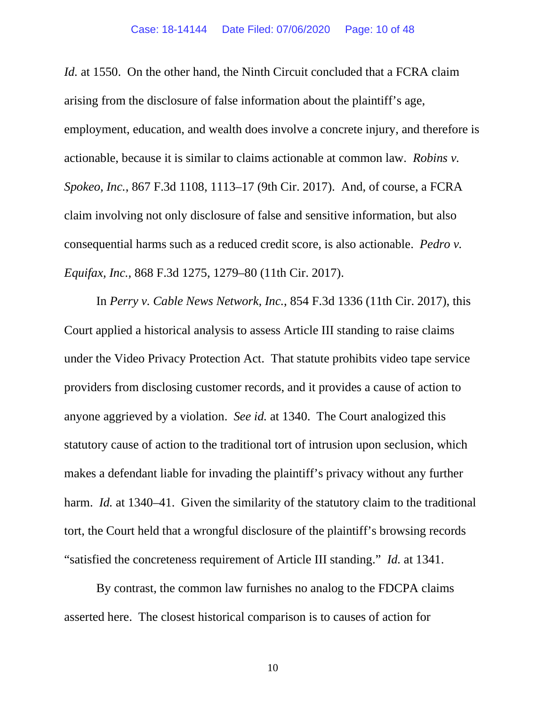*Id.* at 1550. On the other hand, the Ninth Circuit concluded that a FCRA claim arising from the disclosure of false information about the plaintiff's age, employment, education, and wealth does involve a concrete injury, and therefore is actionable, because it is similar to claims actionable at common law. *Robins v. Spokeo, Inc.*, 867 F.3d 1108, 1113–17 (9th Cir. 2017). And, of course, a FCRA claim involving not only disclosure of false and sensitive information, but also consequential harms such as a reduced credit score, is also actionable. *Pedro v. Equifax, Inc.*, 868 F.3d 1275, 1279–80 (11th Cir. 2017).

In *Perry v. Cable News Network, Inc.*, 854 F.3d 1336 (11th Cir. 2017), this Court applied a historical analysis to assess Article III standing to raise claims under the Video Privacy Protection Act. That statute prohibits video tape service providers from disclosing customer records, and it provides a cause of action to anyone aggrieved by a violation. *See id.* at 1340. The Court analogized this statutory cause of action to the traditional tort of intrusion upon seclusion, which makes a defendant liable for invading the plaintiff's privacy without any further harm. *Id.* at 1340–41. Given the similarity of the statutory claim to the traditional tort, the Court held that a wrongful disclosure of the plaintiff's browsing records "satisfied the concreteness requirement of Article III standing." *Id.* at 1341.

By contrast, the common law furnishes no analog to the FDCPA claims asserted here. The closest historical comparison is to causes of action for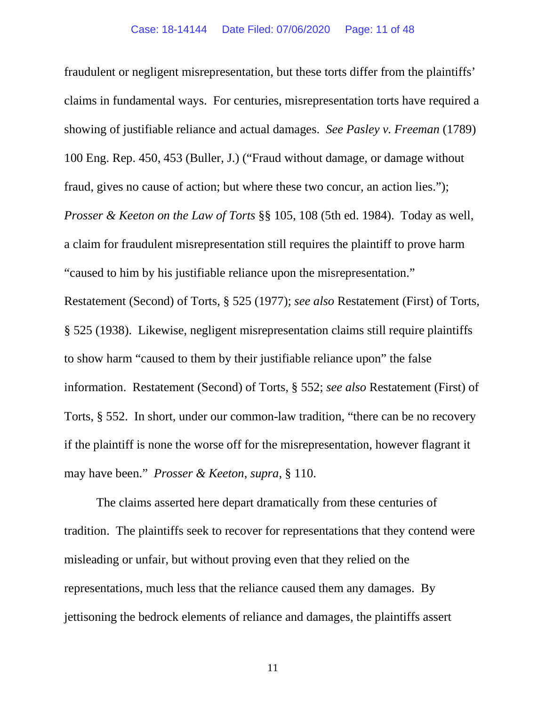fraudulent or negligent misrepresentation, but these torts differ from the plaintiffs' claims in fundamental ways. For centuries, misrepresentation torts have required a showing of justifiable reliance and actual damages. *See Pasley v. Freeman* (1789) 100 Eng. Rep. 450, 453 (Buller, J.) ("Fraud without damage, or damage without fraud, gives no cause of action; but where these two concur, an action lies."); *Prosser & Keeton on the Law of Torts* §§ 105, 108 (5th ed. 1984). Today as well, a claim for fraudulent misrepresentation still requires the plaintiff to prove harm "caused to him by his justifiable reliance upon the misrepresentation." Restatement (Second) of Torts, § 525 (1977); *see also* Restatement (First) of Torts, § 525 (1938). Likewise, negligent misrepresentation claims still require plaintiffs to show harm "caused to them by their justifiable reliance upon" the false information. Restatement (Second) of Torts, § 552; *see also* Restatement (First) of Torts, § 552. In short, under our common-law tradition, "there can be no recovery if the plaintiff is none the worse off for the misrepresentation, however flagrant it

may have been." *Prosser & Keeton*, *supra*, § 110.

The claims asserted here depart dramatically from these centuries of tradition. The plaintiffs seek to recover for representations that they contend were misleading or unfair, but without proving even that they relied on the representations, much less that the reliance caused them any damages. By jettisoning the bedrock elements of reliance and damages, the plaintiffs assert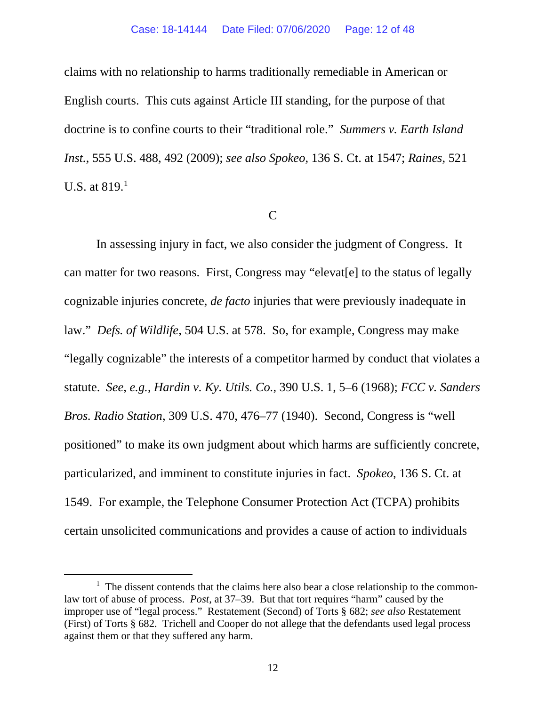#### Case: 18-14144 Date Filed: 07/06/2020 Page: 12 of 48

claims with no relationship to harms traditionally remediable in American or English courts. This cuts against Article III standing, for the purpose of that doctrine is to confine courts to their "traditional role." *Summers v. Earth Island Inst.*, 555 U.S. 488, 492 (2009); *see also Spokeo*, 136 S. Ct. at 1547; *Raines*, 521 U.S. at 8[1](#page-11-0)9.<sup>1</sup>

#### C

In assessing injury in fact, we also consider the judgment of Congress. It can matter for two reasons. First, Congress may "elevat[e] to the status of legally cognizable injuries concrete, *de facto* injuries that were previously inadequate in law." *Defs. of Wildlife*, 504 U.S. at 578. So, for example, Congress may make "legally cognizable" the interests of a competitor harmed by conduct that violates a statute. *See*, *e.g.*, *Hardin v. Ky. Utils. Co.*, 390 U.S. 1, 5–6 (1968); *FCC v. Sanders Bros. Radio Station*, 309 U.S. 470, 476–77 (1940). Second, Congress is "well positioned" to make its own judgment about which harms are sufficiently concrete, particularized, and imminent to constitute injuries in fact. *Spokeo*, 136 S. Ct. at 1549. For example, the Telephone Consumer Protection Act (TCPA) prohibits certain unsolicited communications and provides a cause of action to individuals

<span id="page-11-0"></span><sup>&</sup>lt;sup>1</sup> The dissent contends that the claims here also bear a close relationship to the commonlaw tort of abuse of process. *Post*, at 37–39. But that tort requires "harm" caused by the improper use of "legal process." Restatement (Second) of Torts § 682; *see also* Restatement (First) of Torts § 682. Trichell and Cooper do not allege that the defendants used legal process against them or that they suffered any harm.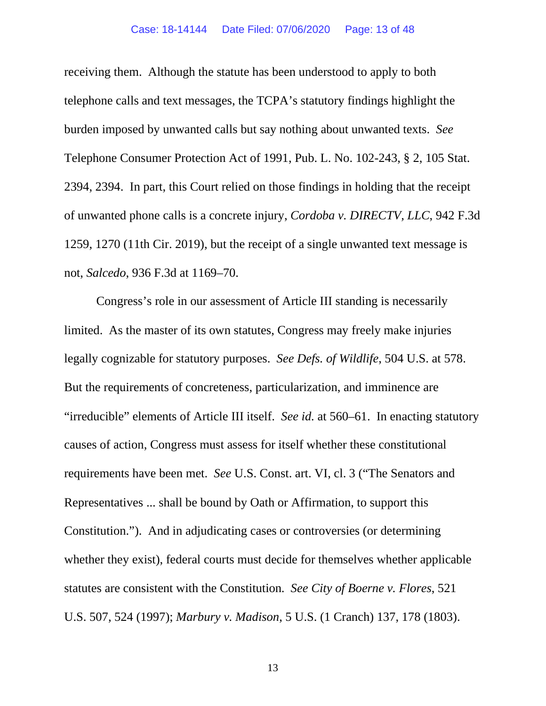receiving them. Although the statute has been understood to apply to both telephone calls and text messages, the TCPA's statutory findings highlight the burden imposed by unwanted calls but say nothing about unwanted texts. *See*  Telephone Consumer Protection Act of 1991, Pub. L. No. 102-243, § 2, 105 Stat. 2394, 2394. In part, this Court relied on those findings in holding that the receipt of unwanted phone calls is a concrete injury, *Cordoba v. DIRECTV, LLC*, 942 F.3d 1259, 1270 (11th Cir. 2019), but the receipt of a single unwanted text message is not, *Salcedo*, 936 F.3d at 1169–70.

Congress's role in our assessment of Article III standing is necessarily limited. As the master of its own statutes, Congress may freely make injuries legally cognizable for statutory purposes. *See Defs. of Wildlife*, 504 U.S. at 578. But the requirements of concreteness, particularization, and imminence are "irreducible" elements of Article III itself. *See id.* at 560–61. In enacting statutory causes of action, Congress must assess for itself whether these constitutional requirements have been met. *See* U.S. Const. art. VI, cl. 3 ("The Senators and Representatives ... shall be bound by Oath or Affirmation, to support this Constitution."). And in adjudicating cases or controversies (or determining whether they exist), federal courts must decide for themselves whether applicable statutes are consistent with the Constitution. *See City of Boerne v. Flores*, 521 U.S. 507, 524 (1997); *Marbury v. Madison*, 5 U.S. (1 Cranch) 137, 178 (1803).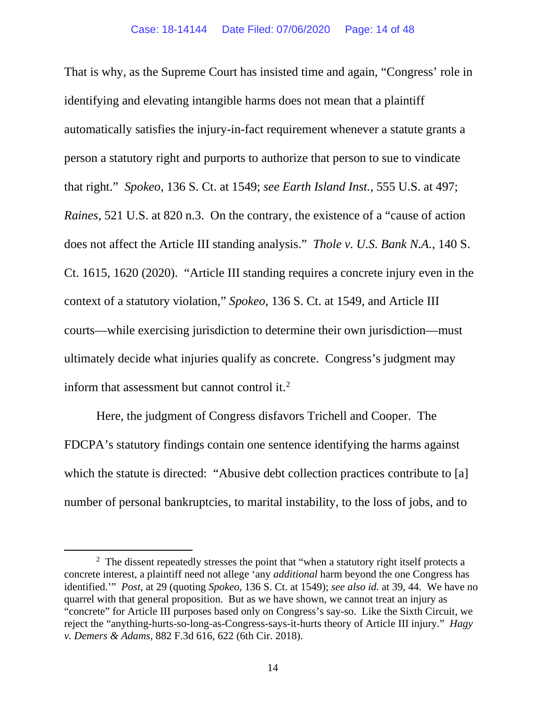That is why, as the Supreme Court has insisted time and again, "Congress' role in identifying and elevating intangible harms does not mean that a plaintiff automatically satisfies the injury-in-fact requirement whenever a statute grants a person a statutory right and purports to authorize that person to sue to vindicate that right." *Spokeo*, 136 S. Ct. at 1549; *see Earth Island Inst.*, 555 U.S. at 497; *Raines*, 521 U.S. at 820 n.3. On the contrary, the existence of a "cause of action does not affect the Article III standing analysis." *Thole v. U.S. Bank N.A.*, 140 S. Ct. 1615, 1620 (2020). "Article III standing requires a concrete injury even in the context of a statutory violation," *Spokeo*, 136 S. Ct. at 1549, and Article III courts—while exercising jurisdiction to determine their own jurisdiction—must ultimately decide what injuries qualify as concrete. Congress's judgment may inform that assessment but cannot control it.<sup>[2](#page-13-0)</sup>

Here, the judgment of Congress disfavors Trichell and Cooper. The FDCPA's statutory findings contain one sentence identifying the harms against which the statute is directed: "Abusive debt collection practices contribute to [a] number of personal bankruptcies, to marital instability, to the loss of jobs, and to

<span id="page-13-0"></span> $2$  The dissent repeatedly stresses the point that "when a statutory right itself protects a concrete interest, a plaintiff need not allege 'any *additional* harm beyond the one Congress has identified.'" *Post*, at 29 (quoting *Spokeo*, 136 S. Ct. at 1549); *see also id.* at 39, 44. We have no quarrel with that general proposition. But as we have shown, we cannot treat an injury as "concrete" for Article III purposes based only on Congress's say-so. Like the Sixth Circuit, we reject the "anything-hurts-so-long-as-Congress-says-it-hurts theory of Article III injury." *Hagy v. Demers & Adams*, 882 F.3d 616, 622 (6th Cir. 2018).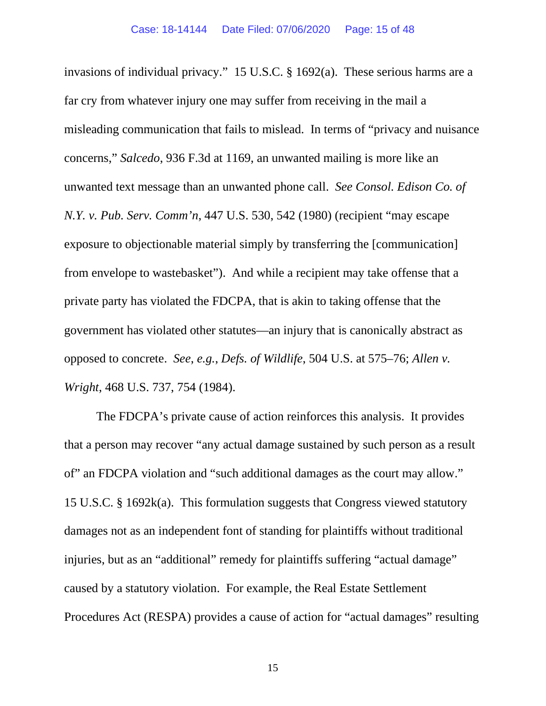invasions of individual privacy." 15 U.S.C. § 1692(a). These serious harms are a far cry from whatever injury one may suffer from receiving in the mail a misleading communication that fails to mislead. In terms of "privacy and nuisance concerns," *Salcedo*, 936 F.3d at 1169, an unwanted mailing is more like an unwanted text message than an unwanted phone call. *See Consol. Edison Co. of N.Y. v. Pub. Serv. Comm'n*, 447 U.S. 530, 542 (1980) (recipient "may escape exposure to objectionable material simply by transferring the [communication] from envelope to wastebasket"). And while a recipient may take offense that a private party has violated the FDCPA, that is akin to taking offense that the government has violated other statutes—an injury that is canonically abstract as opposed to concrete. *See*, *e.g.*, *Defs. of Wildlife*, 504 U.S. at 575–76; *Allen v. Wright*, 468 U.S. 737, 754 (1984).

The FDCPA's private cause of action reinforces this analysis. It provides that a person may recover "any actual damage sustained by such person as a result of" an FDCPA violation and "such additional damages as the court may allow." 15 U.S.C. § 1692k(a). This formulation suggests that Congress viewed statutory damages not as an independent font of standing for plaintiffs without traditional injuries, but as an "additional" remedy for plaintiffs suffering "actual damage" caused by a statutory violation. For example, the Real Estate Settlement Procedures Act (RESPA) provides a cause of action for "actual damages" resulting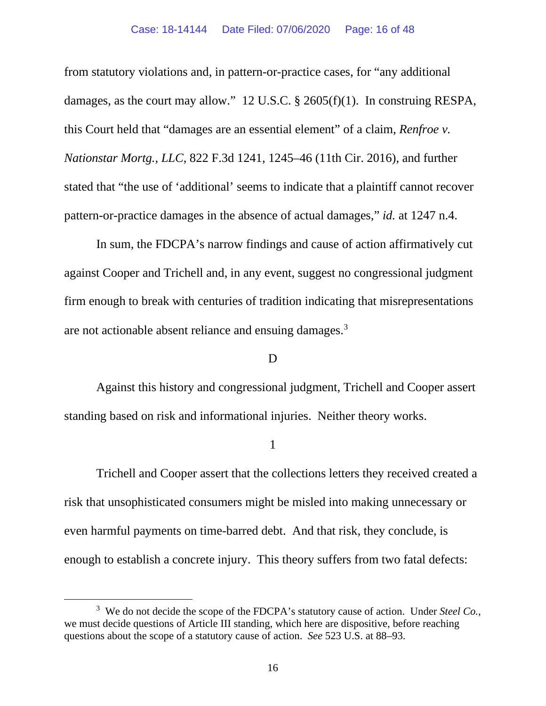from statutory violations and, in pattern-or-practice cases, for "any additional damages, as the court may allow." 12 U.S.C. § 2605(f)(1). In construing RESPA, this Court held that "damages are an essential element" of a claim, *Renfroe v. Nationstar Mortg., LLC*, 822 F.3d 1241, 1245–46 (11th Cir. 2016), and further stated that "the use of 'additional' seems to indicate that a plaintiff cannot recover pattern-or-practice damages in the absence of actual damages," *id.* at 1247 n.4.

In sum, the FDCPA's narrow findings and cause of action affirmatively cut against Cooper and Trichell and, in any event, suggest no congressional judgment firm enough to break with centuries of tradition indicating that misrepresentations are not actionable absent reliance and ensuing damages.<sup>[3](#page-15-0)</sup>

## D

Against this history and congressional judgment, Trichell and Cooper assert standing based on risk and informational injuries. Neither theory works.

1

Trichell and Cooper assert that the collections letters they received created a risk that unsophisticated consumers might be misled into making unnecessary or even harmful payments on time-barred debt. And that risk, they conclude, is enough to establish a concrete injury. This theory suffers from two fatal defects:

<span id="page-15-0"></span><sup>&</sup>lt;sup>3</sup> We do not decide the scope of the FDCPA's statutory cause of action. Under *Steel Co.*, we must decide questions of Article III standing, which here are dispositive, before reaching questions about the scope of a statutory cause of action. *See* 523 U.S. at 88–93.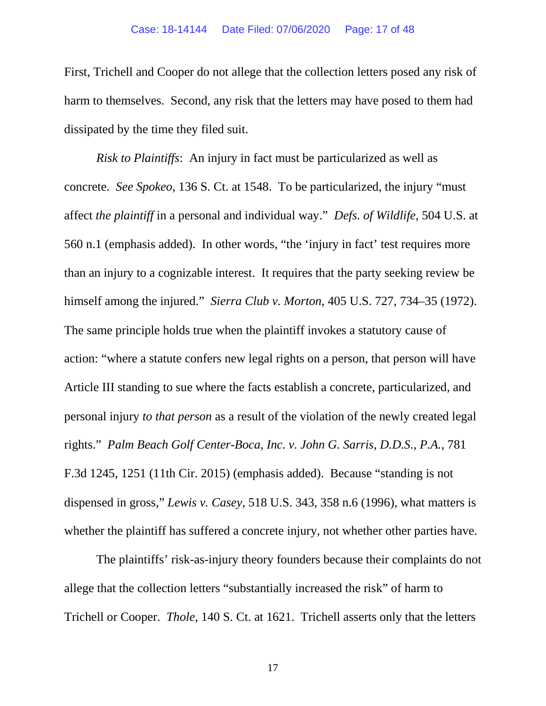First, Trichell and Cooper do not allege that the collection letters posed any risk of harm to themselves. Second, any risk that the letters may have posed to them had dissipated by the time they filed suit.

*Risk to Plaintiffs*: An injury in fact must be particularized as well as concrete. *See Spokeo*, 136 S. Ct. at 1548. To be particularized, the injury "must affect *the plaintiff* in a personal and individual way." *Defs. of Wildlife*, 504 U.S. at 560 n.1 (emphasis added). In other words, "the 'injury in fact' test requires more than an injury to a cognizable interest. It requires that the party seeking review be himself among the injured." *Sierra Club v. Morton*, 405 U.S. 727, 734–35 (1972). The same principle holds true when the plaintiff invokes a statutory cause of action: "where a statute confers new legal rights on a person, that person will have Article III standing to sue where the facts establish a concrete, particularized, and personal injury *to that person* as a result of the violation of the newly created legal rights." *Palm Beach Golf Center-Boca, Inc. v. John G. Sarris, D.D.S., P.A.*, 781 F.3d 1245, 1251 (11th Cir. 2015) (emphasis added). Because "standing is not dispensed in gross," *Lewis v. Casey*, 518 U.S. 343, 358 n.6 (1996), what matters is whether the plaintiff has suffered a concrete injury, not whether other parties have.

The plaintiffs' risk-as-injury theory founders because their complaints do not allege that the collection letters "substantially increased the risk" of harm to Trichell or Cooper. *Thole*, 140 S. Ct. at 1621. Trichell asserts only that the letters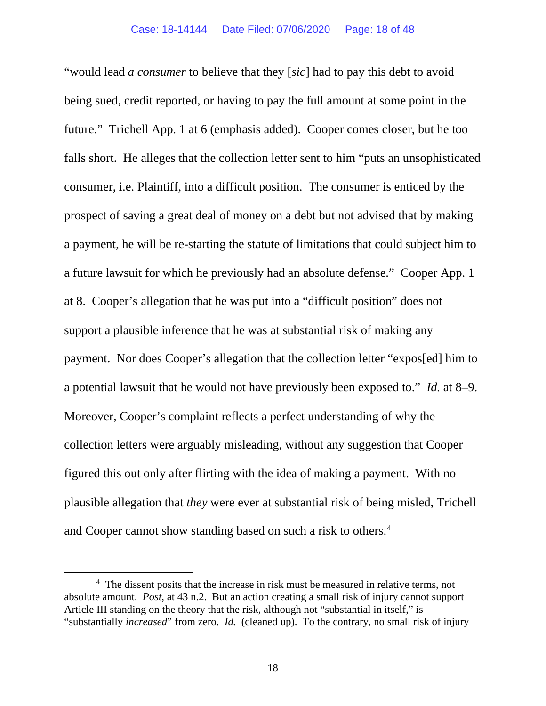"would lead *a consumer* to believe that they [*sic*] had to pay this debt to avoid being sued, credit reported, or having to pay the full amount at some point in the future." Trichell App. 1 at 6 (emphasis added). Cooper comes closer, but he too falls short. He alleges that the collection letter sent to him "puts an unsophisticated consumer, i.e. Plaintiff, into a difficult position. The consumer is enticed by the prospect of saving a great deal of money on a debt but not advised that by making a payment, he will be re-starting the statute of limitations that could subject him to a future lawsuit for which he previously had an absolute defense." Cooper App. 1 at 8. Cooper's allegation that he was put into a "difficult position" does not support a plausible inference that he was at substantial risk of making any payment. Nor does Cooper's allegation that the collection letter "expos[ed] him to a potential lawsuit that he would not have previously been exposed to." *Id.* at 8–9. Moreover, Cooper's complaint reflects a perfect understanding of why the collection letters were arguably misleading, without any suggestion that Cooper figured this out only after flirting with the idea of making a payment. With no plausible allegation that *they* were ever at substantial risk of being misled, Trichell and Cooper cannot show standing based on such a risk to others. [4](#page-17-0)

<span id="page-17-0"></span><sup>&</sup>lt;sup>4</sup> The dissent posits that the increase in risk must be measured in relative terms, not absolute amount. *Post*, at 43 n.2. But an action creating a small risk of injury cannot support Article III standing on the theory that the risk, although not "substantial in itself," is "substantially *increased*" from zero. *Id.* (cleaned up). To the contrary, no small risk of injury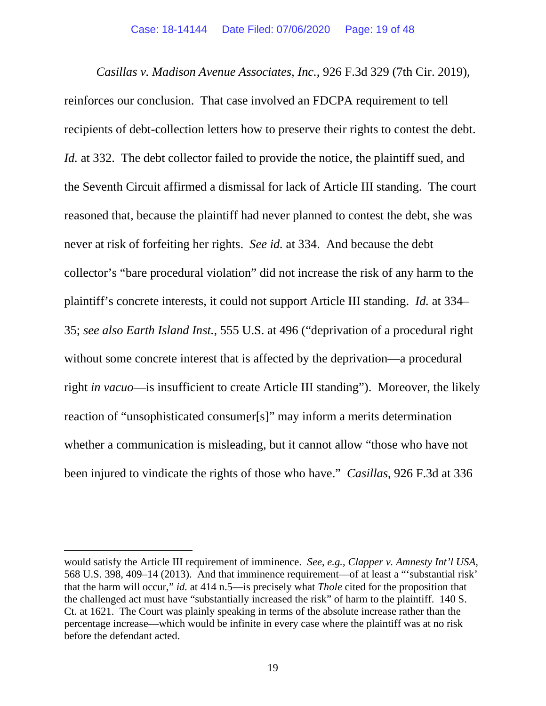*Casillas v. Madison Avenue Associates, Inc.*, 926 F.3d 329 (7th Cir. 2019), reinforces our conclusion. That case involved an FDCPA requirement to tell recipients of debt-collection letters how to preserve their rights to contest the debt. *Id.* at 332. The debt collector failed to provide the notice, the plaintiff sued, and the Seventh Circuit affirmed a dismissal for lack of Article III standing. The court reasoned that, because the plaintiff had never planned to contest the debt, she was never at risk of forfeiting her rights. *See id.* at 334. And because the debt collector's "bare procedural violation" did not increase the risk of any harm to the plaintiff's concrete interests, it could not support Article III standing. *Id.* at 334– 35; *see also Earth Island Inst.*, 555 U.S. at 496 ("deprivation of a procedural right without some concrete interest that is affected by the deprivation—a procedural right *in vacuo*—is insufficient to create Article III standing"). Moreover, the likely reaction of "unsophisticated consumer[s]" may inform a merits determination whether a communication is misleading, but it cannot allow "those who have not been injured to vindicate the rights of those who have." *Casillas*, 926 F.3d at 336

would satisfy the Article III requirement of imminence. *See*, *e.g.*, *Clapper v. Amnesty Int'l USA*, 568 U.S. 398, 409–14 (2013). And that imminence requirement—of at least a "'substantial risk' that the harm will occur," *id.* at 414 n.5—is precisely what *Thole* cited for the proposition that the challenged act must have "substantially increased the risk" of harm to the plaintiff. 140 S. Ct. at 1621. The Court was plainly speaking in terms of the absolute increase rather than the percentage increase—which would be infinite in every case where the plaintiff was at no risk before the defendant acted.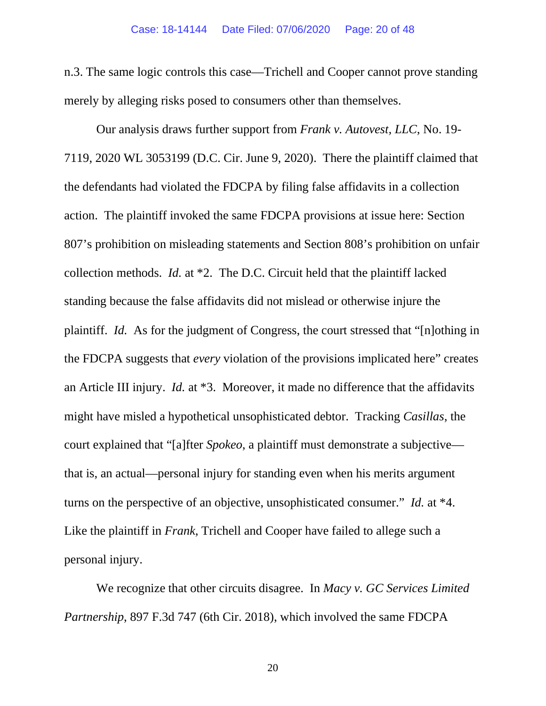n.3. The same logic controls this case—Trichell and Cooper cannot prove standing merely by alleging risks posed to consumers other than themselves.

Our analysis draws further support from *Frank v. Autovest, LLC*, No. 19- 7119, 2020 WL 3053199 (D.C. Cir. June 9, 2020). There the plaintiff claimed that the defendants had violated the FDCPA by filing false affidavits in a collection action. The plaintiff invoked the same FDCPA provisions at issue here: Section 807's prohibition on misleading statements and Section 808's prohibition on unfair collection methods. *Id.* at \*2. The D.C. Circuit held that the plaintiff lacked standing because the false affidavits did not mislead or otherwise injure the plaintiff. *Id.* As for the judgment of Congress, the court stressed that "[n]othing in the FDCPA suggests that *every* violation of the provisions implicated here" creates an Article III injury. *Id.* at \*3. Moreover, it made no difference that the affidavits might have misled a hypothetical unsophisticated debtor. Tracking *Casillas*, the court explained that "[a]fter *Spokeo*, a plaintiff must demonstrate a subjective that is, an actual—personal injury for standing even when his merits argument turns on the perspective of an objective, unsophisticated consumer." *Id.* at \*4. Like the plaintiff in *Frank*, Trichell and Cooper have failed to allege such a personal injury.

We recognize that other circuits disagree. In *Macy v. GC Services Limited Partnership*, 897 F.3d 747 (6th Cir. 2018), which involved the same FDCPA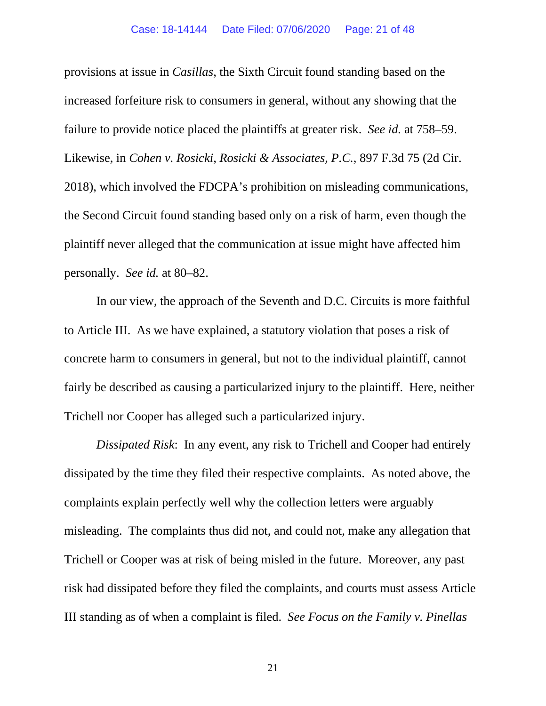provisions at issue in *Casillas*, the Sixth Circuit found standing based on the increased forfeiture risk to consumers in general, without any showing that the failure to provide notice placed the plaintiffs at greater risk. *See id.* at 758–59. Likewise, in *Cohen v. Rosicki, Rosicki & Associates, P.C.*, 897 F.3d 75 (2d Cir. 2018), which involved the FDCPA's prohibition on misleading communications, the Second Circuit found standing based only on a risk of harm, even though the plaintiff never alleged that the communication at issue might have affected him personally. *See id.* at 80–82.

In our view, the approach of the Seventh and D.C. Circuits is more faithful to Article III. As we have explained, a statutory violation that poses a risk of concrete harm to consumers in general, but not to the individual plaintiff, cannot fairly be described as causing a particularized injury to the plaintiff. Here, neither Trichell nor Cooper has alleged such a particularized injury.

*Dissipated Risk*: In any event, any risk to Trichell and Cooper had entirely dissipated by the time they filed their respective complaints. As noted above, the complaints explain perfectly well why the collection letters were arguably misleading. The complaints thus did not, and could not, make any allegation that Trichell or Cooper was at risk of being misled in the future. Moreover, any past risk had dissipated before they filed the complaints, and courts must assess Article III standing as of when a complaint is filed. *See Focus on the Family v. Pinellas*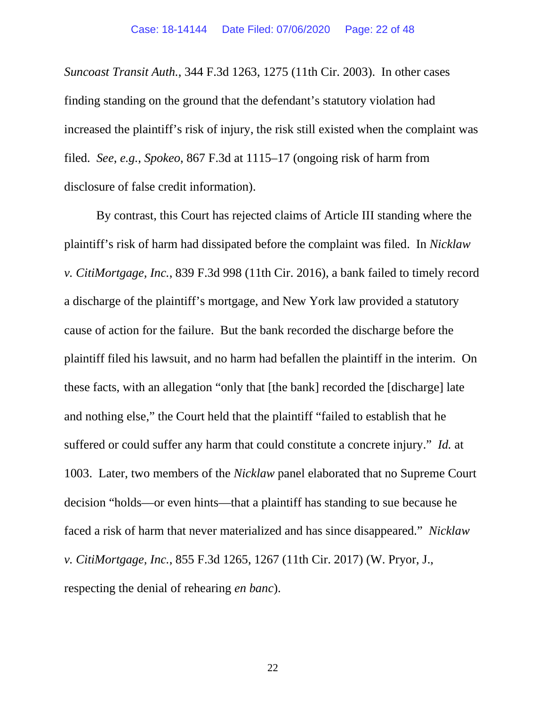*Suncoast Transit Auth.*, 344 F.3d 1263, 1275 (11th Cir. 2003). In other cases finding standing on the ground that the defendant's statutory violation had increased the plaintiff's risk of injury, the risk still existed when the complaint was filed. *See*, *e.g.*, *Spokeo*, 867 F.3d at 1115–17 (ongoing risk of harm from disclosure of false credit information).

By contrast, this Court has rejected claims of Article III standing where the plaintiff's risk of harm had dissipated before the complaint was filed. In *Nicklaw v. CitiMortgage, Inc.*, 839 F.3d 998 (11th Cir. 2016), a bank failed to timely record a discharge of the plaintiff's mortgage, and New York law provided a statutory cause of action for the failure. But the bank recorded the discharge before the plaintiff filed his lawsuit, and no harm had befallen the plaintiff in the interim. On these facts, with an allegation "only that [the bank] recorded the [discharge] late and nothing else," the Court held that the plaintiff "failed to establish that he suffered or could suffer any harm that could constitute a concrete injury." *Id.* at 1003. Later, two members of the *Nicklaw* panel elaborated that no Supreme Court decision "holds—or even hints—that a plaintiff has standing to sue because he faced a risk of harm that never materialized and has since disappeared." *Nicklaw v. CitiMortgage, Inc.*, 855 F.3d 1265, 1267 (11th Cir. 2017) (W. Pryor, J., respecting the denial of rehearing *en banc*).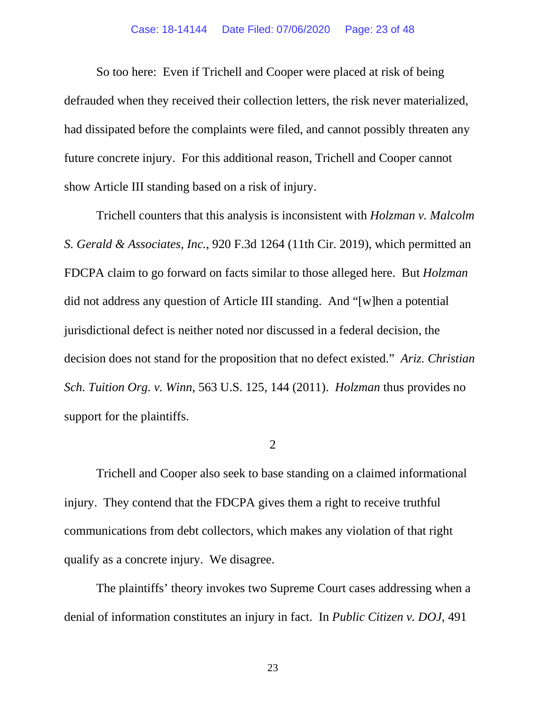So too here: Even if Trichell and Cooper were placed at risk of being defrauded when they received their collection letters, the risk never materialized, had dissipated before the complaints were filed, and cannot possibly threaten any future concrete injury. For this additional reason, Trichell and Cooper cannot show Article III standing based on a risk of injury.

Trichell counters that this analysis is inconsistent with *Holzman v. Malcolm S. Gerald & Associates, Inc.*, 920 F.3d 1264 (11th Cir. 2019), which permitted an FDCPA claim to go forward on facts similar to those alleged here. But *Holzman* did not address any question of Article III standing. And "[w]hen a potential jurisdictional defect is neither noted nor discussed in a federal decision, the decision does not stand for the proposition that no defect existed." *Ariz. Christian Sch. Tuition Org. v. Winn*, 563 U.S. 125, 144 (2011). *Holzman* thus provides no support for the plaintiffs.

2

Trichell and Cooper also seek to base standing on a claimed informational injury. They contend that the FDCPA gives them a right to receive truthful communications from debt collectors, which makes any violation of that right qualify as a concrete injury. We disagree.

The plaintiffs' theory invokes two Supreme Court cases addressing when a denial of information constitutes an injury in fact. In *Public Citizen v. DOJ*, 491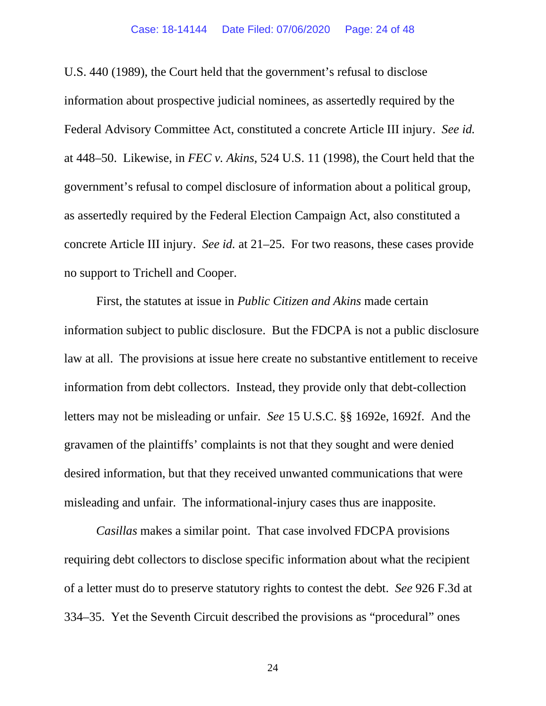U.S. 440 (1989), the Court held that the government's refusal to disclose information about prospective judicial nominees, as assertedly required by the Federal Advisory Committee Act, constituted a concrete Article III injury. *See id.* at 448–50. Likewise, in *FEC v. Akins*, 524 U.S. 11 (1998), the Court held that the government's refusal to compel disclosure of information about a political group, as assertedly required by the Federal Election Campaign Act, also constituted a concrete Article III injury. *See id.* at 21–25. For two reasons, these cases provide no support to Trichell and Cooper.

First, the statutes at issue in *Public Citizen and Akins* made certain information subject to public disclosure. But the FDCPA is not a public disclosure law at all. The provisions at issue here create no substantive entitlement to receive information from debt collectors. Instead, they provide only that debt-collection letters may not be misleading or unfair. *See* 15 U.S.C. §§ 1692e, 1692f. And the gravamen of the plaintiffs' complaints is not that they sought and were denied desired information, but that they received unwanted communications that were misleading and unfair. The informational-injury cases thus are inapposite.

*Casillas* makes a similar point. That case involved FDCPA provisions requiring debt collectors to disclose specific information about what the recipient of a letter must do to preserve statutory rights to contest the debt. *See* 926 F.3d at 334–35. Yet the Seventh Circuit described the provisions as "procedural" ones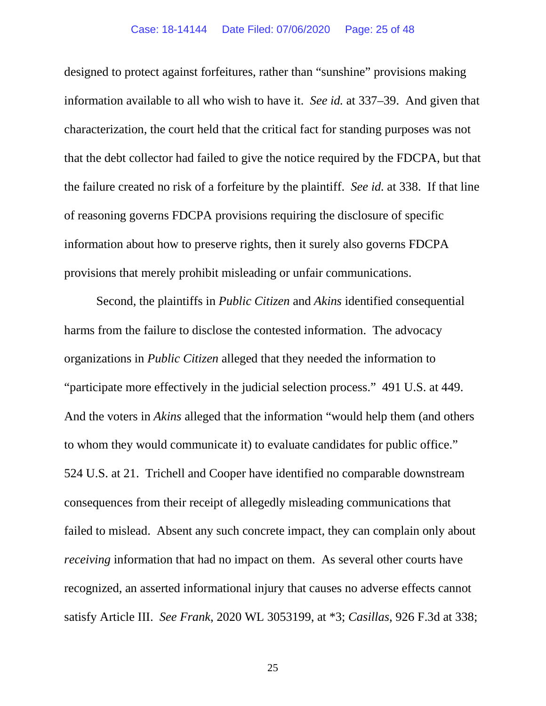#### Case: 18-14144 Date Filed: 07/06/2020 Page: 25 of 48

designed to protect against forfeitures, rather than "sunshine" provisions making information available to all who wish to have it. *See id.* at 337–39. And given that characterization, the court held that the critical fact for standing purposes was not that the debt collector had failed to give the notice required by the FDCPA, but that the failure created no risk of a forfeiture by the plaintiff. *See id.* at 338.If that line of reasoning governs FDCPA provisions requiring the disclosure of specific information about how to preserve rights, then it surely also governs FDCPA provisions that merely prohibit misleading or unfair communications.

Second, the plaintiffs in *Public Citizen* and *Akins* identified consequential harms from the failure to disclose the contested information. The advocacy organizations in *Public Citizen* alleged that they needed the information to "participate more effectively in the judicial selection process." 491 U.S. at 449. And the voters in *Akins* alleged that the information "would help them (and others to whom they would communicate it) to evaluate candidates for public office." 524 U.S. at 21. Trichell and Cooper have identified no comparable downstream consequences from their receipt of allegedly misleading communications that failed to mislead. Absent any such concrete impact, they can complain only about *receiving* information that had no impact on them. As several other courts have recognized, an asserted informational injury that causes no adverse effects cannot satisfy Article III. *See Frank*, 2020 WL 3053199, at \*3; *Casillas*, 926 F.3d at 338;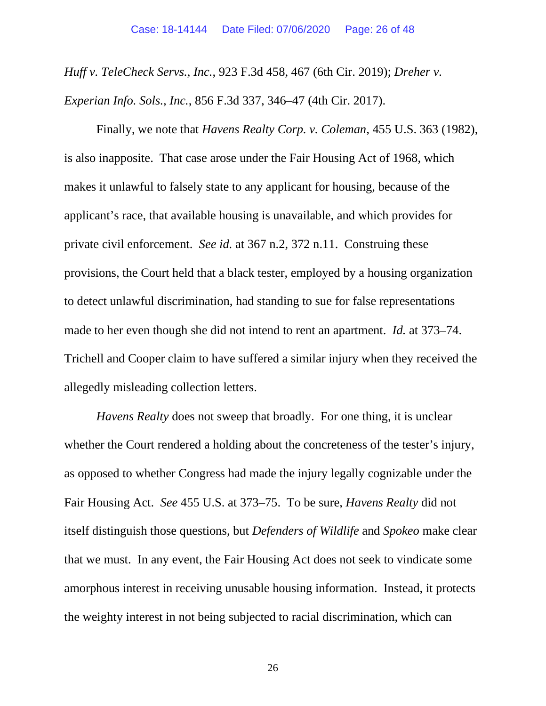*Huff v. TeleCheck Servs., Inc.*, 923 F.3d 458, 467 (6th Cir. 2019); *Dreher v. Experian Info. Sols., Inc.*, 856 F.3d 337, 346–47 (4th Cir. 2017).

Finally, we note that *Havens Realty Corp. v. Coleman*, 455 U.S. 363 (1982), is also inapposite. That case arose under the Fair Housing Act of 1968, which makes it unlawful to falsely state to any applicant for housing, because of the applicant's race, that available housing is unavailable, and which provides for private civil enforcement. *See id.* at 367 n.2, 372 n.11. Construing these provisions, the Court held that a black tester, employed by a housing organization to detect unlawful discrimination, had standing to sue for false representations made to her even though she did not intend to rent an apartment. *Id.* at 373–74. Trichell and Cooper claim to have suffered a similar injury when they received the allegedly misleading collection letters.

*Havens Realty* does not sweep that broadly. For one thing, it is unclear whether the Court rendered a holding about the concreteness of the tester's injury, as opposed to whether Congress had made the injury legally cognizable under the Fair Housing Act. *See* 455 U.S. at 373–75. To be sure, *Havens Realty* did not itself distinguish those questions, but *Defenders of Wildlife* and *Spokeo* make clear that we must. In any event, the Fair Housing Act does not seek to vindicate some amorphous interest in receiving unusable housing information. Instead, it protects the weighty interest in not being subjected to racial discrimination, which can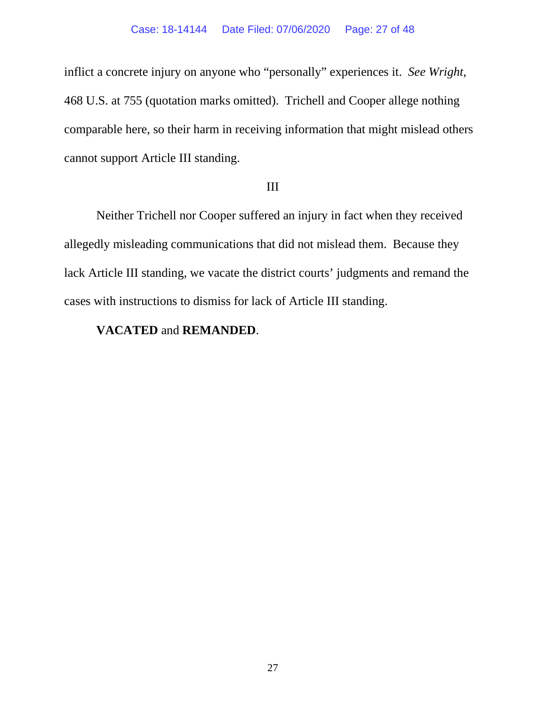### Case: 18-14144 Date Filed: 07/06/2020 Page: 27 of 48

inflict a concrete injury on anyone who "personally" experiences it. *See Wright*, 468 U.S. at 755 (quotation marks omitted). Trichell and Cooper allege nothing comparable here, so their harm in receiving information that might mislead others cannot support Article III standing.

## III

Neither Trichell nor Cooper suffered an injury in fact when they received allegedly misleading communications that did not mislead them. Because they lack Article III standing, we vacate the district courts' judgments and remand the cases with instructions to dismiss for lack of Article III standing.

## **VACATED** and **REMANDED**.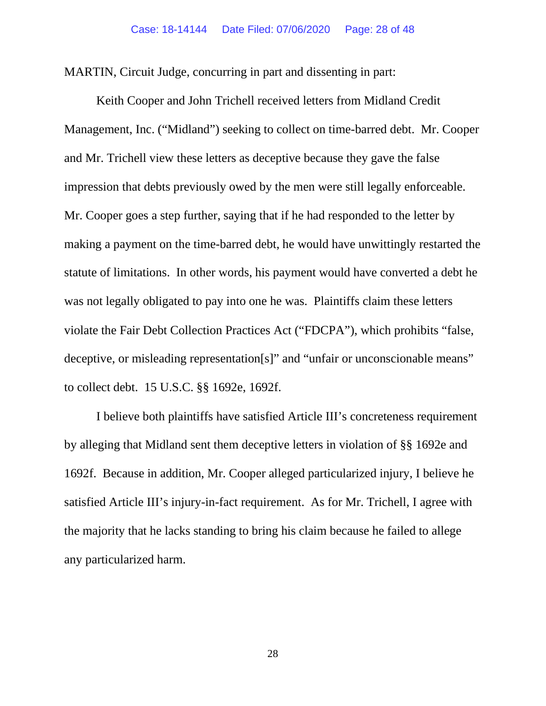MARTIN, Circuit Judge, concurring in part and dissenting in part:

Keith Cooper and John Trichell received letters from Midland Credit Management, Inc. ("Midland") seeking to collect on time-barred debt. Mr. Cooper and Mr. Trichell view these letters as deceptive because they gave the false impression that debts previously owed by the men were still legally enforceable. Mr. Cooper goes a step further, saying that if he had responded to the letter by making a payment on the time-barred debt, he would have unwittingly restarted the statute of limitations. In other words, his payment would have converted a debt he was not legally obligated to pay into one he was. Plaintiffs claim these letters violate the Fair Debt Collection Practices Act ("FDCPA"), which prohibits "false, deceptive, or misleading representation[s]" and "unfair or unconscionable means" to collect debt. 15 U.S.C. §§ 1692e, 1692f.

I believe both plaintiffs have satisfied Article III's concreteness requirement by alleging that Midland sent them deceptive letters in violation of §§ 1692e and 1692f. Because in addition, Mr. Cooper alleged particularized injury, I believe he satisfied Article III's injury-in-fact requirement. As for Mr. Trichell, I agree with the majority that he lacks standing to bring his claim because he failed to allege any particularized harm.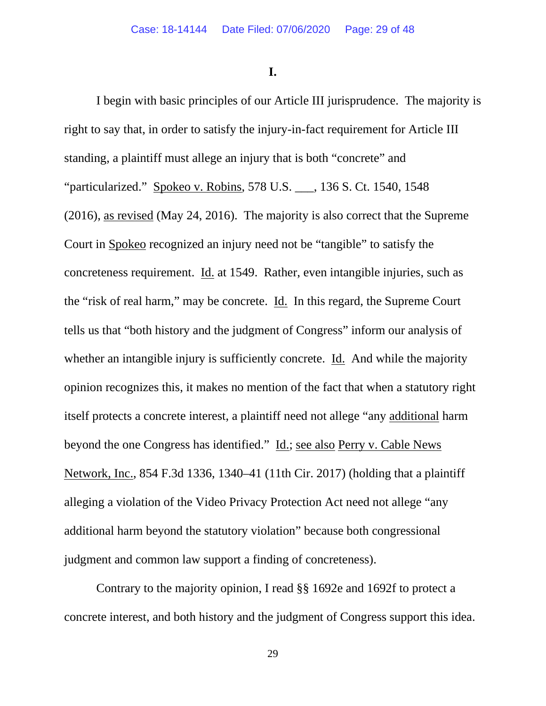**I.**

I begin with basic principles of our Article III jurisprudence. The majority is right to say that, in order to satisfy the injury-in-fact requirement for Article III standing, a plaintiff must allege an injury that is both "concrete" and "particularized." Spokeo v. Robins, 578 U.S. \_\_\_, 136 S. Ct. 1540, 1548 (2016), as revised (May 24, 2016). The majority is also correct that the Supreme Court in Spokeo recognized an injury need not be "tangible" to satisfy the concreteness requirement. Id. at 1549. Rather, even intangible injuries, such as the "risk of real harm," may be concrete. Id. In this regard, the Supreme Court tells us that "both history and the judgment of Congress" inform our analysis of whether an intangible injury is sufficiently concrete. Id. And while the majority opinion recognizes this, it makes no mention of the fact that when a statutory right itself protects a concrete interest, a plaintiff need not allege "any additional harm beyond the one Congress has identified." Id.; see also Perry v. Cable News Network, Inc., 854 F.3d 1336, 1340–41 (11th Cir. 2017) (holding that a plaintiff alleging a violation of the Video Privacy Protection Act need not allege "any additional harm beyond the statutory violation" because both congressional judgment and common law support a finding of concreteness).

Contrary to the majority opinion, I read §§ 1692e and 1692f to protect a concrete interest, and both history and the judgment of Congress support this idea.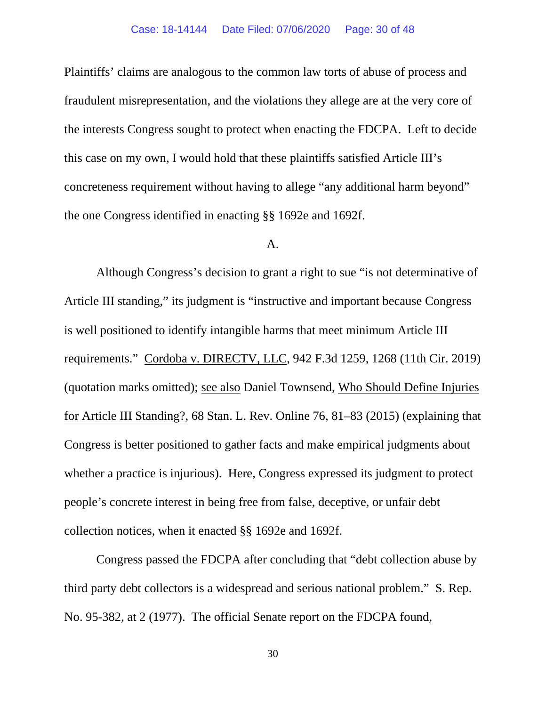Plaintiffs' claims are analogous to the common law torts of abuse of process and fraudulent misrepresentation, and the violations they allege are at the very core of the interests Congress sought to protect when enacting the FDCPA. Left to decide this case on my own, I would hold that these plaintiffs satisfied Article III's concreteness requirement without having to allege "any additional harm beyond" the one Congress identified in enacting §§ 1692e and 1692f.

## A.

Although Congress's decision to grant a right to sue "is not determinative of Article III standing," its judgment is "instructive and important because Congress is well positioned to identify intangible harms that meet minimum Article III requirements." Cordoba v. DIRECTV, LLC, 942 F.3d 1259, 1268 (11th Cir. 2019) (quotation marks omitted); see also Daniel Townsend, Who Should Define Injuries for Article III Standing?, 68 Stan. L. Rev. Online 76, 81–83 (2015) (explaining that Congress is better positioned to gather facts and make empirical judgments about whether a practice is injurious). Here, Congress expressed its judgment to protect people's concrete interest in being free from false, deceptive, or unfair debt collection notices, when it enacted §§ 1692e and 1692f.

Congress passed the FDCPA after concluding that "debt collection abuse by third party debt collectors is a widespread and serious national problem." S. Rep. No. 95-382, at 2 (1977). The official Senate report on the FDCPA found,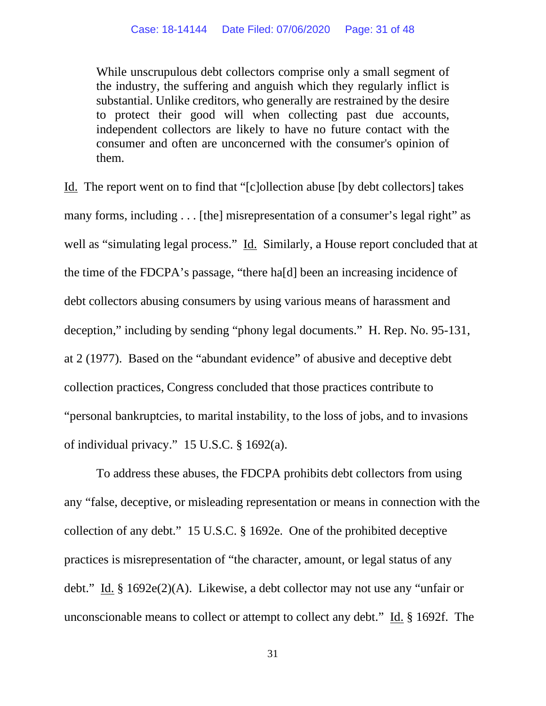While unscrupulous debt collectors comprise only a small segment of the industry, the suffering and anguish which they regularly inflict is substantial. Unlike creditors, who generally are restrained by the desire to protect their good will when collecting past due accounts, independent collectors are likely to have no future contact with the consumer and often are unconcerned with the consumer's opinion of them.

Id. The report went on to find that "[c]ollection abuse [by debt collectors] takes many forms, including . . . [the] misrepresentation of a consumer's legal right" as well as "simulating legal process." Id. Similarly, a House report concluded that at the time of the FDCPA's passage, "there ha[d] been an increasing incidence of debt collectors abusing consumers by using various means of harassment and deception," including by sending "phony legal documents." H. Rep. No. 95-131, at 2 (1977). Based on the "abundant evidence" of abusive and deceptive debt collection practices, Congress concluded that those practices contribute to "personal bankruptcies, to marital instability, to the loss of jobs, and to invasions of individual privacy." 15 U.S.C. § 1692(a).

To address these abuses, the FDCPA prohibits debt collectors from using any "false, deceptive, or misleading representation or means in connection with the collection of any debt." 15 U.S.C. § 1692e. One of the prohibited deceptive practices is misrepresentation of "the character, amount, or legal status of any debt." Id. § 1692e(2)(A). Likewise, a debt collector may not use any "unfair or unconscionable means to collect or attempt to collect any debt." Id. § 1692f. The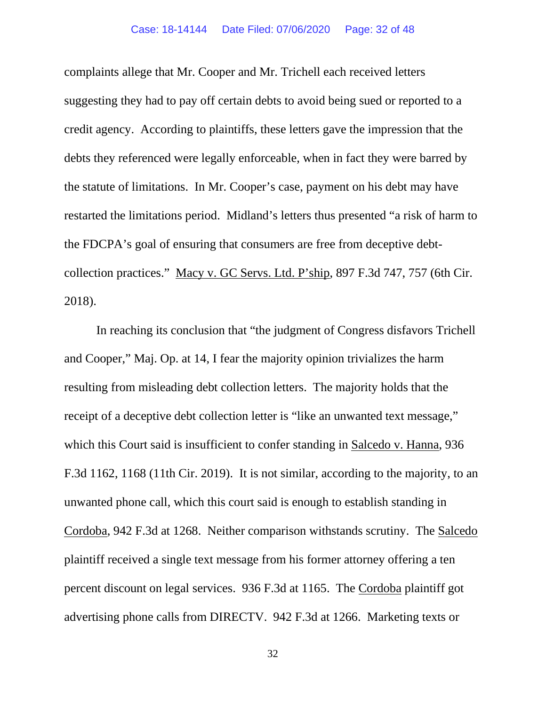complaints allege that Mr. Cooper and Mr. Trichell each received letters suggesting they had to pay off certain debts to avoid being sued or reported to a credit agency. According to plaintiffs, these letters gave the impression that the debts they referenced were legally enforceable, when in fact they were barred by the statute of limitations. In Mr. Cooper's case, payment on his debt may have restarted the limitations period. Midland's letters thus presented "a risk of harm to the FDCPA's goal of ensuring that consumers are free from deceptive debtcollection practices." Macy v. GC Servs. Ltd. P'ship, 897 F.3d 747, 757 (6th Cir. 2018).

In reaching its conclusion that "the judgment of Congress disfavors Trichell and Cooper," Maj. Op. at 14, I fear the majority opinion trivializes the harm resulting from misleading debt collection letters. The majority holds that the receipt of a deceptive debt collection letter is "like an unwanted text message," which this Court said is insufficient to confer standing in Salcedo v. Hanna, 936 F.3d 1162, 1168 (11th Cir. 2019). It is not similar, according to the majority, to an unwanted phone call, which this court said is enough to establish standing in Cordoba, 942 F.3d at 1268. Neither comparison withstands scrutiny. The Salcedo plaintiff received a single text message from his former attorney offering a ten percent discount on legal services. 936 F.3d at 1165. The Cordoba plaintiff got advertising phone calls from DIRECTV. 942 F.3d at 1266. Marketing texts or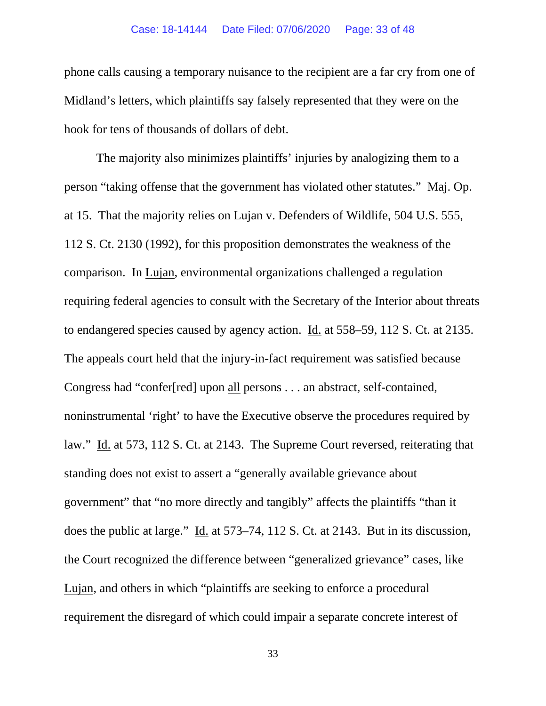phone calls causing a temporary nuisance to the recipient are a far cry from one of Midland's letters, which plaintiffs say falsely represented that they were on the hook for tens of thousands of dollars of debt.

The majority also minimizes plaintiffs' injuries by analogizing them to a person "taking offense that the government has violated other statutes." Maj. Op. at 15. That the majority relies on Lujan v. Defenders of Wildlife, 504 U.S. 555, 112 S. Ct. 2130 (1992), for this proposition demonstrates the weakness of the comparison. In Lujan, environmental organizations challenged a regulation requiring federal agencies to consult with the Secretary of the Interior about threats to endangered species caused by agency action. Id. at 558–59, 112 S. Ct. at 2135. The appeals court held that the injury-in-fact requirement was satisfied because Congress had "confer[red] upon all persons . . . an abstract, self-contained, noninstrumental 'right' to have the Executive observe the procedures required by law." Id. at 573, 112 S. Ct. at 2143. The Supreme Court reversed, reiterating that standing does not exist to assert a "generally available grievance about government" that "no more directly and tangibly" affects the plaintiffs "than it does the public at large." Id. at 573–74, 112 S. Ct. at 2143. But in its discussion, the Court recognized the difference between "generalized grievance" cases, like Lujan, and others in which "plaintiffs are seeking to enforce a procedural requirement the disregard of which could impair a separate concrete interest of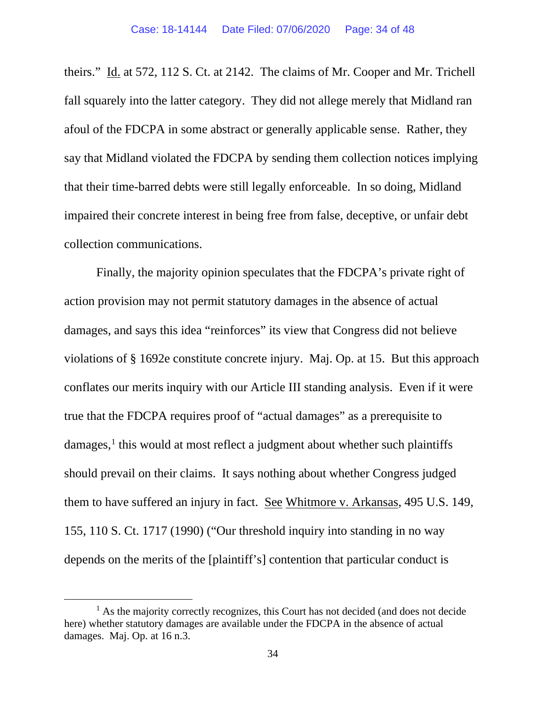theirs." Id. at 572, 112 S. Ct. at 2142. The claims of Mr. Cooper and Mr. Trichell fall squarely into the latter category. They did not allege merely that Midland ran afoul of the FDCPA in some abstract or generally applicable sense. Rather, they say that Midland violated the FDCPA by sending them collection notices implying that their time-barred debts were still legally enforceable. In so doing, Midland impaired their concrete interest in being free from false, deceptive, or unfair debt collection communications.

Finally, the majority opinion speculates that the FDCPA's private right of action provision may not permit statutory damages in the absence of actual damages, and says this idea "reinforces" its view that Congress did not believe violations of § 1692e constitute concrete injury. Maj. Op. at 15. But this approach conflates our merits inquiry with our Article III standing analysis. Even if it were true that the FDCPA requires proof of "actual damages" as a prerequisite to  $damages$ ,<sup>[1](#page-33-0)</sup> this would at most reflect a judgment about whether such plaintiffs should prevail on their claims. It says nothing about whether Congress judged them to have suffered an injury in fact. See Whitmore v. Arkansas, 495 U.S. 149, 155, 110 S. Ct. 1717 (1990) ("Our threshold inquiry into standing in no way depends on the merits of the [plaintiff's] contention that particular conduct is

<span id="page-33-0"></span> $<sup>1</sup>$  As the majority correctly recognizes, this Court has not decided (and does not decide</sup> here) whether statutory damages are available under the FDCPA in the absence of actual damages. Maj. Op. at 16 n.3.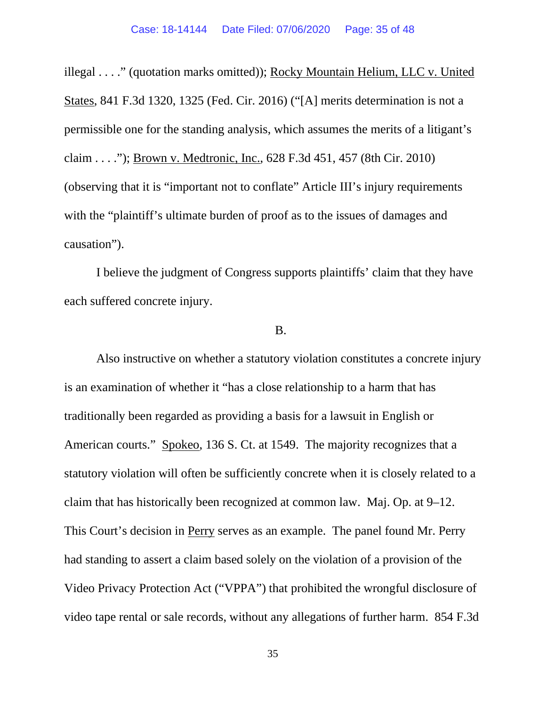illegal . . . ." (quotation marks omitted)); Rocky Mountain Helium, LLC v. United States, 841 F.3d 1320, 1325 (Fed. Cir. 2016) ("[A] merits determination is not a permissible one for the standing analysis, which assumes the merits of a litigant's claim . . . ."); Brown v. Medtronic, Inc., 628 F.3d 451, 457 (8th Cir. 2010) (observing that it is "important not to conflate" Article III's injury requirements with the "plaintiff's ultimate burden of proof as to the issues of damages and causation").

I believe the judgment of Congress supports plaintiffs' claim that they have each suffered concrete injury.

#### B.

Also instructive on whether a statutory violation constitutes a concrete injury is an examination of whether it "has a close relationship to a harm that has traditionally been regarded as providing a basis for a lawsuit in English or American courts." Spokeo, 136 S. Ct. at 1549. The majority recognizes that a statutory violation will often be sufficiently concrete when it is closely related to a claim that has historically been recognized at common law. Maj. Op. at 9–12. This Court's decision in Perry serves as an example. The panel found Mr. Perry had standing to assert a claim based solely on the violation of a provision of the Video Privacy Protection Act ("VPPA") that prohibited the wrongful disclosure of video tape rental or sale records, without any allegations of further harm. 854 F.3d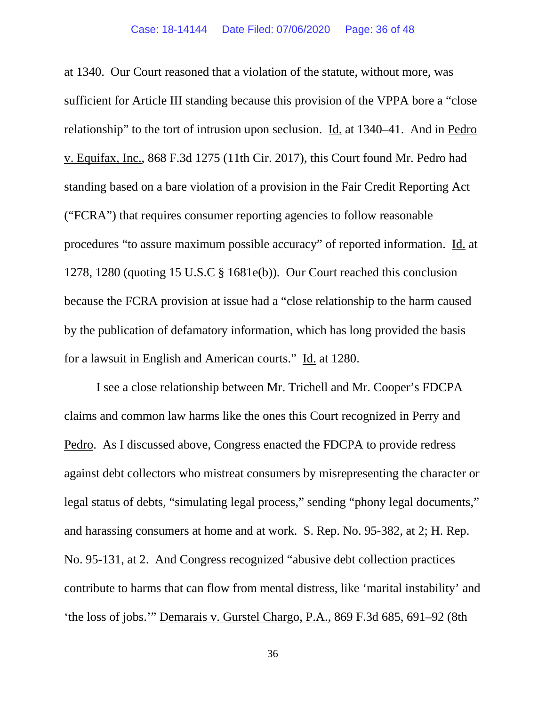at 1340. Our Court reasoned that a violation of the statute, without more, was sufficient for Article III standing because this provision of the VPPA bore a "close relationship" to the tort of intrusion upon seclusion. Id. at 1340–41. And in Pedro v. Equifax, Inc., 868 F.3d 1275 (11th Cir. 2017), this Court found Mr. Pedro had standing based on a bare violation of a provision in the Fair Credit Reporting Act ("FCRA") that requires consumer reporting agencies to follow reasonable procedures "to assure maximum possible accuracy" of reported information. Id. at 1278, 1280 (quoting 15 U.S.C § 1681e(b)). Our Court reached this conclusion because the FCRA provision at issue had a "close relationship to the harm caused by the publication of defamatory information, which has long provided the basis for a lawsuit in English and American courts." Id. at 1280.

I see a close relationship between Mr. Trichell and Mr. Cooper's FDCPA claims and common law harms like the ones this Court recognized in Perry and Pedro. As I discussed above, Congress enacted the FDCPA to provide redress against debt collectors who mistreat consumers by misrepresenting the character or legal status of debts, "simulating legal process," sending "phony legal documents," and harassing consumers at home and at work. S. Rep. No. 95-382, at 2; H. Rep. No. 95-131, at 2. And Congress recognized "abusive debt collection practices contribute to harms that can flow from mental distress, like 'marital instability' and 'the loss of jobs.'" Demarais v. Gurstel Chargo, P.A., 869 F.3d 685, 691–92 (8th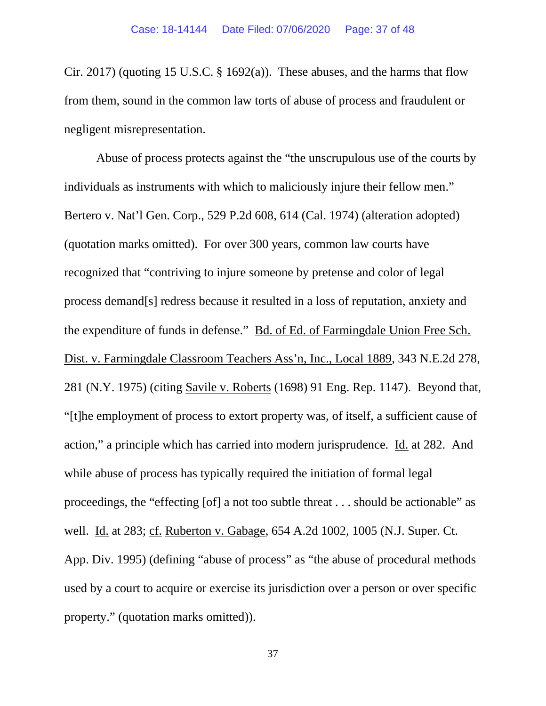Cir. 2017) (quoting 15 U.S.C. § 1692(a)). These abuses, and the harms that flow from them, sound in the common law torts of abuse of process and fraudulent or negligent misrepresentation.

Abuse of process protects against the "the unscrupulous use of the courts by individuals as instruments with which to maliciously injure their fellow men." Bertero v. Nat'l Gen. Corp., 529 P.2d 608, 614 (Cal. 1974) (alteration adopted) (quotation marks omitted). For over 300 years, common law courts have recognized that "contriving to injure someone by pretense and color of legal process demand[s] redress because it resulted in a loss of reputation, anxiety and the expenditure of funds in defense." Bd. of Ed. of Farmingdale Union Free Sch. Dist. v. Farmingdale Classroom Teachers Ass'n, Inc., Local 1889, 343 N.E.2d 278, 281 (N.Y. 1975) (citing Savile v. Roberts (1698) 91 Eng. Rep. 1147). Beyond that, "[t]he employment of process to extort property was, of itself, a sufficient cause of action," a principle which has carried into modern jurisprudence. Id. at 282. And while abuse of process has typically required the initiation of formal legal proceedings, the "effecting [of] a not too subtle threat . . . should be actionable" as well. Id. at 283; cf. Ruberton v. Gabage, 654 A.2d 1002, 1005 (N.J. Super. Ct. App. Div. 1995) (defining "abuse of process" as "the abuse of procedural methods used by a court to acquire or exercise its jurisdiction over a person or over specific property." (quotation marks omitted)).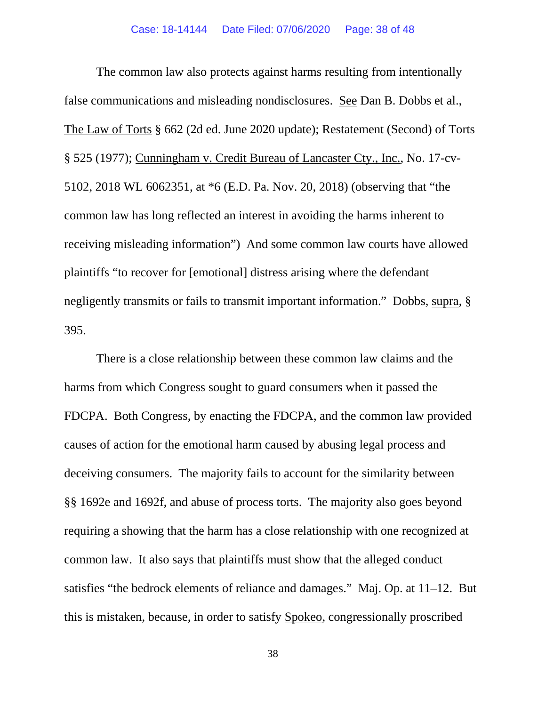The common law also protects against harms resulting from intentionally false communications and misleading nondisclosures. See Dan B. Dobbs et al., The Law of Torts § 662 (2d ed. June 2020 update); Restatement (Second) of Torts § 525 (1977); Cunningham v. Credit Bureau of Lancaster Cty., Inc., No. 17-cv-5102, 2018 WL 6062351, at \*6 (E.D. Pa. Nov. 20, 2018) (observing that "the common law has long reflected an interest in avoiding the harms inherent to receiving misleading information") And some common law courts have allowed plaintiffs "to recover for [emotional] distress arising where the defendant negligently transmits or fails to transmit important information." Dobbs, supra, § 395.

There is a close relationship between these common law claims and the harms from which Congress sought to guard consumers when it passed the FDCPA. Both Congress, by enacting the FDCPA, and the common law provided causes of action for the emotional harm caused by abusing legal process and deceiving consumers. The majority fails to account for the similarity between §§ 1692e and 1692f, and abuse of process torts. The majority also goes beyond requiring a showing that the harm has a close relationship with one recognized at common law. It also says that plaintiffs must show that the alleged conduct satisfies "the bedrock elements of reliance and damages." Maj. Op. at 11–12. But this is mistaken, because, in order to satisfy Spokeo, congressionally proscribed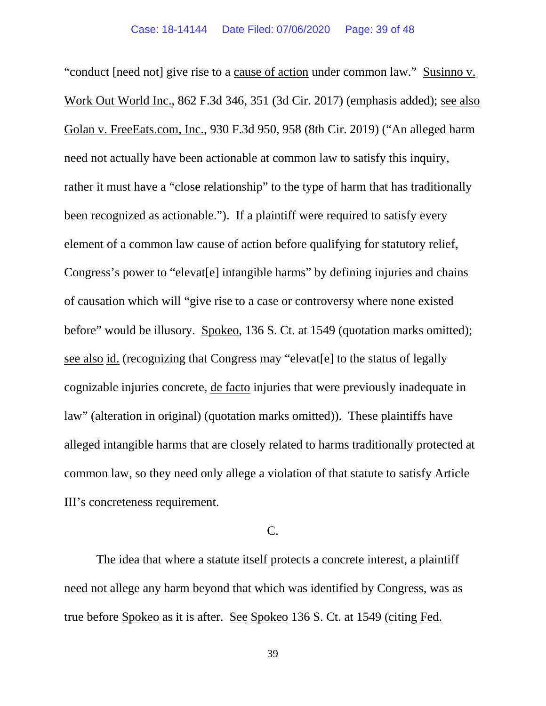"conduct [need not] give rise to a cause of action under common law." Susinno v. Work Out World Inc., 862 F.3d 346, 351 (3d Cir. 2017) (emphasis added); see also Golan v. FreeEats.com, Inc., 930 F.3d 950, 958 (8th Cir. 2019) ("An alleged harm need not actually have been actionable at common law to satisfy this inquiry, rather it must have a "close relationship" to the type of harm that has traditionally been recognized as actionable."). If a plaintiff were required to satisfy every element of a common law cause of action before qualifying for statutory relief, Congress's power to "elevat[e] intangible harms" by defining injuries and chains of causation which will "give rise to a case or controversy where none existed before" would be illusory. Spokeo, 136 S. Ct. at 1549 (quotation marks omitted); see also id. (recognizing that Congress may "elevat[e] to the status of legally cognizable injuries concrete, de facto injuries that were previously inadequate in law" (alteration in original) (quotation marks omitted)). These plaintiffs have alleged intangible harms that are closely related to harms traditionally protected at common law, so they need only allege a violation of that statute to satisfy Article III's concreteness requirement.

## C.

The idea that where a statute itself protects a concrete interest, a plaintiff need not allege any harm beyond that which was identified by Congress, was as true before Spokeo as it is after. See Spokeo 136 S. Ct. at 1549 (citing Fed.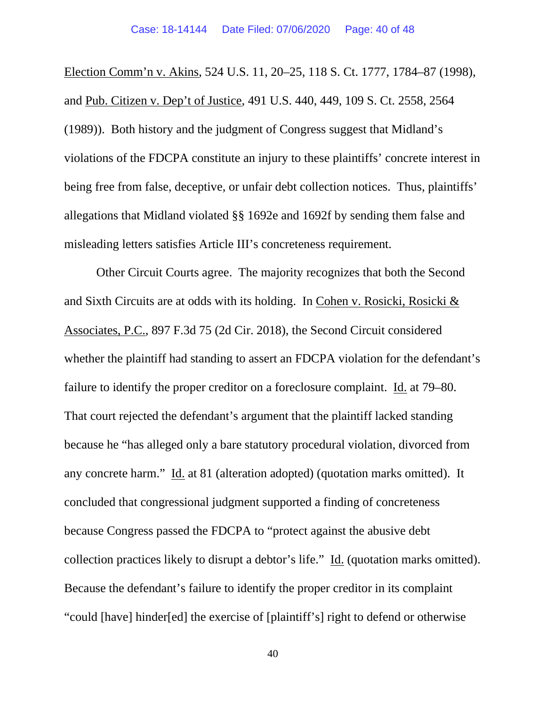Election Comm'n v. Akins, 524 U.S. 11, 20–25, 118 S. Ct. 1777, 1784–87 (1998), and Pub. Citizen v. Dep't of Justice, 491 U.S. 440, 449, 109 S. Ct. 2558, 2564 (1989)). Both history and the judgment of Congress suggest that Midland's violations of the FDCPA constitute an injury to these plaintiffs' concrete interest in being free from false, deceptive, or unfair debt collection notices. Thus, plaintiffs' allegations that Midland violated §§ 1692e and 1692f by sending them false and misleading letters satisfies Article III's concreteness requirement.

Other Circuit Courts agree. The majority recognizes that both the Second and Sixth Circuits are at odds with its holding. In Cohen v. Rosicki, Rosicki & Associates, P.C., 897 F.3d 75 (2d Cir. 2018), the Second Circuit considered whether the plaintiff had standing to assert an FDCPA violation for the defendant's failure to identify the proper creditor on a foreclosure complaint. Id. at 79–80. That court rejected the defendant's argument that the plaintiff lacked standing because he "has alleged only a bare statutory procedural violation, divorced from any concrete harm." Id. at 81 (alteration adopted) (quotation marks omitted). It concluded that congressional judgment supported a finding of concreteness because Congress passed the FDCPA to "protect against the abusive debt collection practices likely to disrupt a debtor's life." Id. (quotation marks omitted). Because the defendant's failure to identify the proper creditor in its complaint "could [have] hinder[ed] the exercise of [plaintiff's] right to defend or otherwise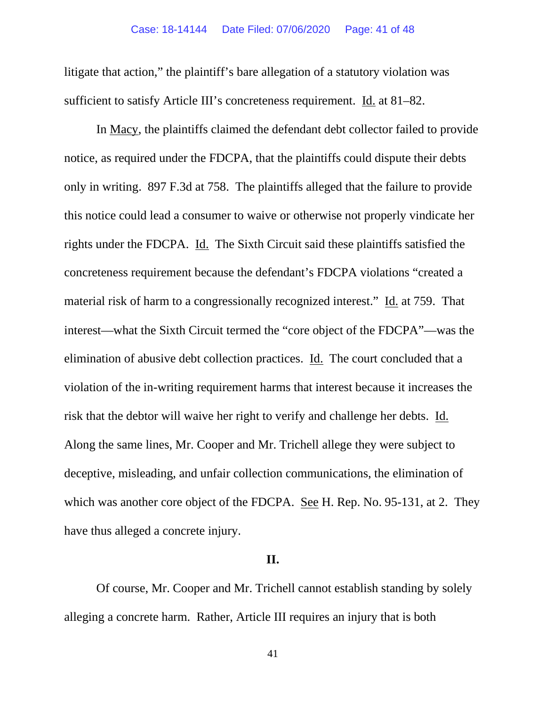litigate that action," the plaintiff's bare allegation of a statutory violation was sufficient to satisfy Article III's concreteness requirement. Id. at 81–82.

In Macy, the plaintiffs claimed the defendant debt collector failed to provide notice, as required under the FDCPA, that the plaintiffs could dispute their debts only in writing. 897 F.3d at 758. The plaintiffs alleged that the failure to provide this notice could lead a consumer to waive or otherwise not properly vindicate her rights under the FDCPA. Id. The Sixth Circuit said these plaintiffs satisfied the concreteness requirement because the defendant's FDCPA violations "created a material risk of harm to a congressionally recognized interest." Id. at 759. That interest—what the Sixth Circuit termed the "core object of the FDCPA"—was the elimination of abusive debt collection practices. Id. The court concluded that a violation of the in-writing requirement harms that interest because it increases the risk that the debtor will waive her right to verify and challenge her debts. Id. Along the same lines, Mr. Cooper and Mr. Trichell allege they were subject to deceptive, misleading, and unfair collection communications, the elimination of which was another core object of the FDCPA. See H. Rep. No. 95-131, at 2. They have thus alleged a concrete injury.

## **II.**

Of course, Mr. Cooper and Mr. Trichell cannot establish standing by solely alleging a concrete harm. Rather, Article III requires an injury that is both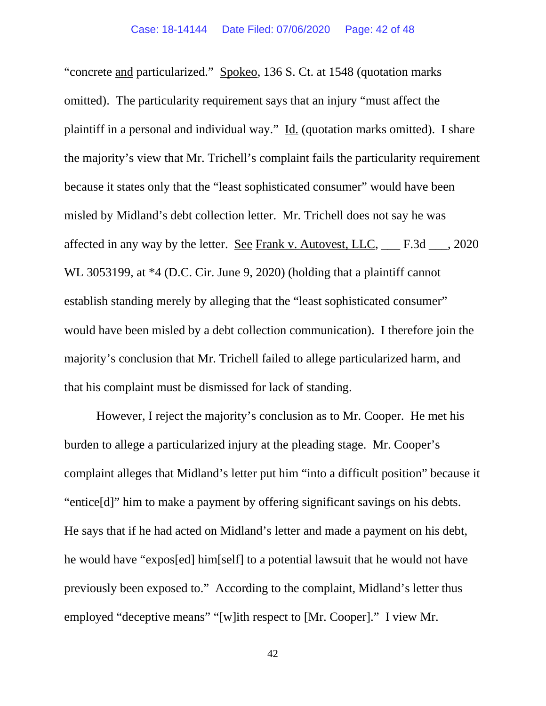"concrete and particularized." Spokeo, 136 S. Ct. at 1548 (quotation marks omitted). The particularity requirement says that an injury "must affect the plaintiff in a personal and individual way." Id. (quotation marks omitted). I share the majority's view that Mr. Trichell's complaint fails the particularity requirement because it states only that the "least sophisticated consumer" would have been misled by Midland's debt collection letter. Mr. Trichell does not say he was affected in any way by the letter. See Frank v. Autovest, LLC, \_\_\_ F.3d \_\_\_, 2020 WL 3053199, at  $*4$  (D.C. Cir. June 9, 2020) (holding that a plaintiff cannot establish standing merely by alleging that the "least sophisticated consumer" would have been misled by a debt collection communication). I therefore join the majority's conclusion that Mr. Trichell failed to allege particularized harm, and that his complaint must be dismissed for lack of standing.

However, I reject the majority's conclusion as to Mr. Cooper. He met his burden to allege a particularized injury at the pleading stage. Mr. Cooper's complaint alleges that Midland's letter put him "into a difficult position" because it "entice[d]" him to make a payment by offering significant savings on his debts. He says that if he had acted on Midland's letter and made a payment on his debt, he would have "expos[ed] him[self] to a potential lawsuit that he would not have previously been exposed to." According to the complaint, Midland's letter thus employed "deceptive means" "[w]ith respect to [Mr. Cooper]." I view Mr.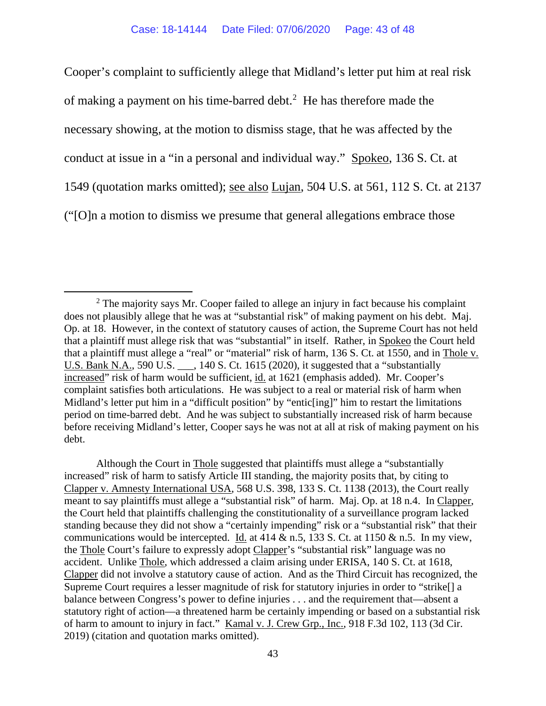Cooper's complaint to sufficiently allege that Midland's letter put him at real risk of making a payment on his time-barred debt.<sup>[2](#page-42-0)</sup> He has therefore made the necessary showing, at the motion to dismiss stage, that he was affected by the conduct at issue in a "in a personal and individual way." Spokeo, 136 S. Ct. at 1549 (quotation marks omitted); see also Lujan, 504 U.S. at 561, 112 S. Ct. at 2137 ("[O]n a motion to dismiss we presume that general allegations embrace those

Although the Court in Thole suggested that plaintiffs must allege a "substantially increased" risk of harm to satisfy Article III standing, the majority posits that, by citing to Clapper v. Amnesty International USA, 568 U.S. 398, 133 S. Ct. 1138 (2013), the Court really meant to say plaintiffs must allege a "substantial risk" of harm. Maj. Op. at 18 n.4. In Clapper, the Court held that plaintiffs challenging the constitutionality of a surveillance program lacked standing because they did not show a "certainly impending" risk or a "substantial risk" that their communications would be intercepted. Id. at 414  $\&$  n.5, 133 S. Ct. at 1150  $\&$  n.5. In my view, the Thole Court's failure to expressly adopt Clapper's "substantial risk" language was no accident. Unlike Thole, which addressed a claim arising under ERISA, 140 S. Ct. at 1618, Clapper did not involve a statutory cause of action. And as the Third Circuit has recognized, the Supreme Court requires a lesser magnitude of risk for statutory injuries in order to "strike[] a balance between Congress's power to define injuries . . . and the requirement that—absent a statutory right of action—a threatened harm be certainly impending or based on a substantial risk of harm to amount to injury in fact." Kamal v. J. Crew Grp., Inc., 918 F.3d 102, 113 (3d Cir. 2019) (citation and quotation marks omitted).

<span id="page-42-0"></span> $2$  The majority says Mr. Cooper failed to allege an injury in fact because his complaint does not plausibly allege that he was at "substantial risk" of making payment on his debt. Maj. Op. at 18. However, in the context of statutory causes of action, the Supreme Court has not held that a plaintiff must allege risk that was "substantial" in itself. Rather, in Spokeo the Court held that a plaintiff must allege a "real" or "material" risk of harm, 136 S. Ct. at 1550, and in Thole v. U.S. Bank N.A., 590 U.S. \_\_\_, 140 S. Ct. 1615 (2020), it suggested that a "substantially increased" risk of harm would be sufficient, id. at 1621 (emphasis added). Mr. Cooper's complaint satisfies both articulations. He was subject to a real or material risk of harm when Midland's letter put him in a "difficult position" by "entic[ing]" him to restart the limitations period on time-barred debt. And he was subject to substantially increased risk of harm because before receiving Midland's letter, Cooper says he was not at all at risk of making payment on his debt.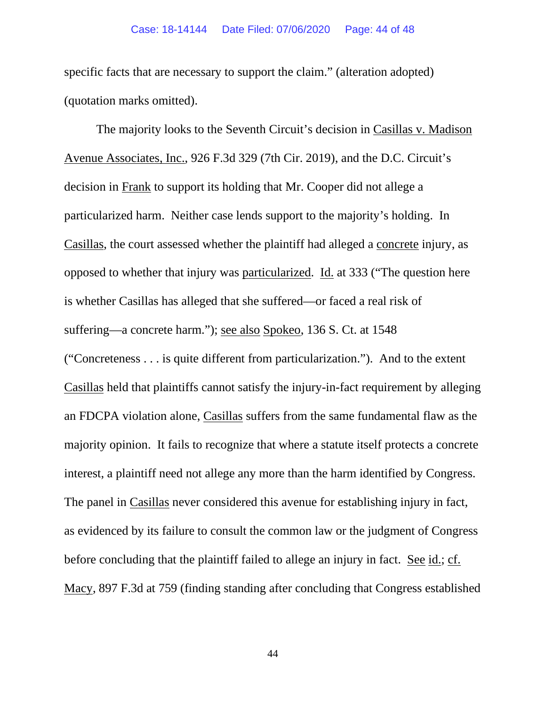specific facts that are necessary to support the claim." (alteration adopted) (quotation marks omitted).

The majority looks to the Seventh Circuit's decision in Casillas v. Madison Avenue Associates, Inc., 926 F.3d 329 (7th Cir. 2019), and the D.C. Circuit's decision in Frank to support its holding that Mr. Cooper did not allege a particularized harm. Neither case lends support to the majority's holding. In Casillas, the court assessed whether the plaintiff had alleged a concrete injury, as opposed to whether that injury was particularized. Id. at 333 ("The question here is whether Casillas has alleged that she suffered—or faced a real risk of suffering—a concrete harm."); see also Spokeo, 136 S. Ct. at 1548 ("Concreteness . . . is quite different from particularization."). And to the extent Casillas held that plaintiffs cannot satisfy the injury-in-fact requirement by alleging an FDCPA violation alone, Casillas suffers from the same fundamental flaw as the majority opinion. It fails to recognize that where a statute itself protects a concrete interest, a plaintiff need not allege any more than the harm identified by Congress. The panel in Casillas never considered this avenue for establishing injury in fact, as evidenced by its failure to consult the common law or the judgment of Congress before concluding that the plaintiff failed to allege an injury in fact. See id.; cf. Macy, 897 F.3d at 759 (finding standing after concluding that Congress established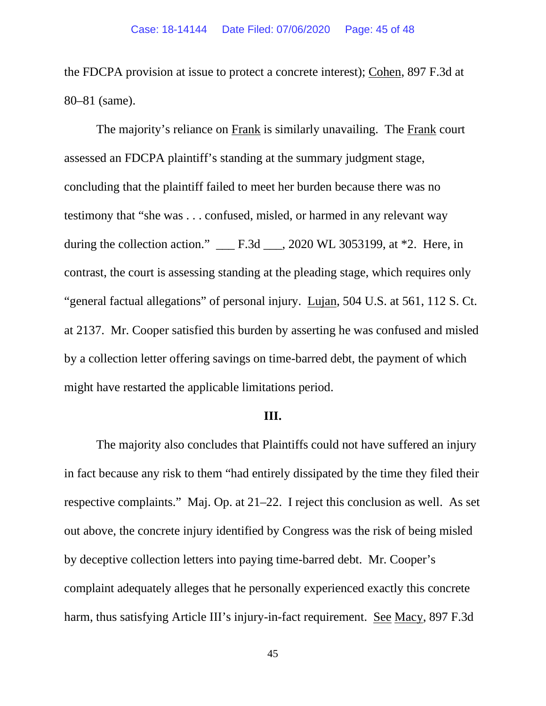the FDCPA provision at issue to protect a concrete interest); Cohen, 897 F.3d at 80–81 (same).

The majority's reliance on Frank is similarly unavailing. The Frank court assessed an FDCPA plaintiff's standing at the summary judgment stage, concluding that the plaintiff failed to meet her burden because there was no testimony that "she was . . . confused, misled, or harmed in any relevant way during the collection action." \_\_\_ F.3d \_\_\_, 2020 WL 3053199, at \*2. Here, in contrast, the court is assessing standing at the pleading stage, which requires only "general factual allegations" of personal injury. Lujan, 504 U.S. at 561, 112 S. Ct. at 2137. Mr. Cooper satisfied this burden by asserting he was confused and misled by a collection letter offering savings on time-barred debt, the payment of which might have restarted the applicable limitations period.

### **III.**

The majority also concludes that Plaintiffs could not have suffered an injury in fact because any risk to them "had entirely dissipated by the time they filed their respective complaints." Maj. Op. at 21–22. I reject this conclusion as well. As set out above, the concrete injury identified by Congress was the risk of being misled by deceptive collection letters into paying time-barred debt. Mr. Cooper's complaint adequately alleges that he personally experienced exactly this concrete harm, thus satisfying Article III's injury-in-fact requirement. See Macy, 897 F.3d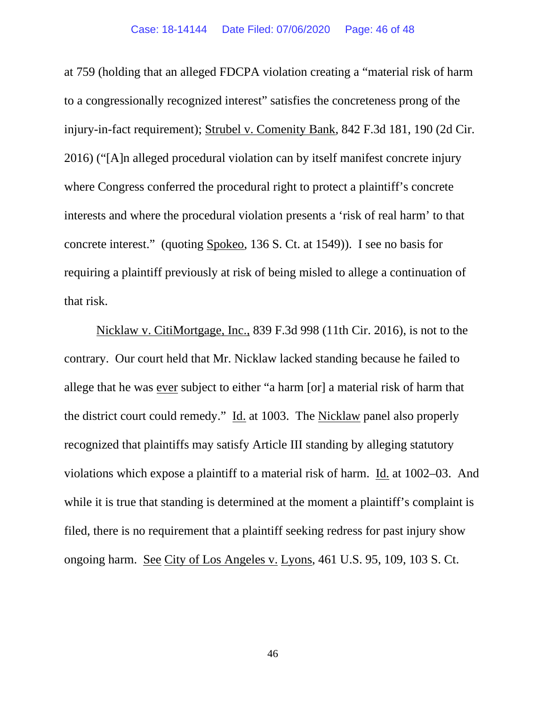at 759 (holding that an alleged FDCPA violation creating a "material risk of harm to a congressionally recognized interest" satisfies the concreteness prong of the injury-in-fact requirement); Strubel v. Comenity Bank, 842 F.3d 181, 190 (2d Cir. 2016) ("[A]n alleged procedural violation can by itself manifest concrete injury where Congress conferred the procedural right to protect a plaintiff's concrete interests and where the procedural violation presents a 'risk of real harm' to that concrete interest." (quoting Spokeo, 136 S. Ct. at 1549)). I see no basis for requiring a plaintiff previously at risk of being misled to allege a continuation of that risk.

Nicklaw v. CitiMortgage, Inc., 839 F.3d 998 (11th Cir. 2016), is not to the contrary. Our court held that Mr. Nicklaw lacked standing because he failed to allege that he was ever subject to either "a harm [or] a material risk of harm that the district court could remedy." Id. at 1003. The Nicklaw panel also properly recognized that plaintiffs may satisfy Article III standing by alleging statutory violations which expose a plaintiff to a material risk of harm. Id. at 1002–03. And while it is true that standing is determined at the moment a plaintiff's complaint is filed, there is no requirement that a plaintiff seeking redress for past injury show ongoing harm. See City of Los Angeles v. Lyons, 461 U.S. 95, 109, 103 S. Ct.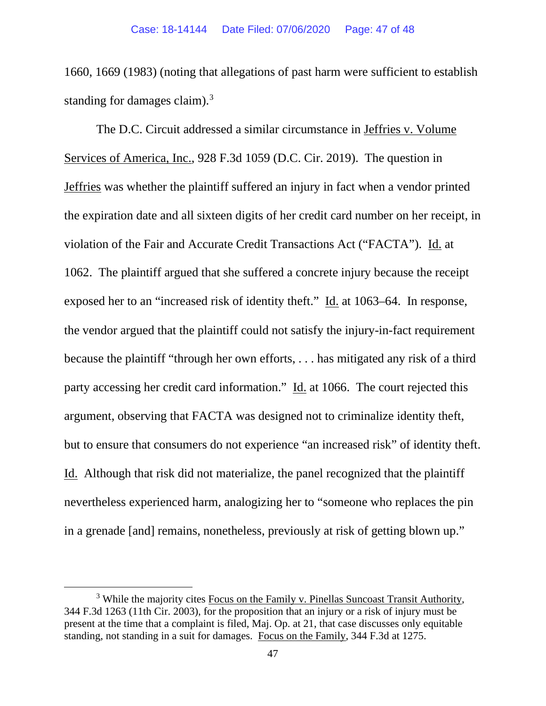1660, 1669 (1983) (noting that allegations of past harm were sufficient to establish standing for damages claim).<sup>[3](#page-46-0)</sup>

The D.C. Circuit addressed a similar circumstance in Jeffries v. Volume Services of America, Inc., 928 F.3d 1059 (D.C. Cir. 2019). The question in Jeffries was whether the plaintiff suffered an injury in fact when a vendor printed the expiration date and all sixteen digits of her credit card number on her receipt, in violation of the Fair and Accurate Credit Transactions Act ("FACTA"). Id. at 1062. The plaintiff argued that she suffered a concrete injury because the receipt exposed her to an "increased risk of identity theft." Id. at 1063–64. In response, the vendor argued that the plaintiff could not satisfy the injury-in-fact requirement because the plaintiff "through her own efforts, . . . has mitigated any risk of a third party accessing her credit card information." Id. at 1066. The court rejected this argument, observing that FACTA was designed not to criminalize identity theft, but to ensure that consumers do not experience "an increased risk" of identity theft. Id. Although that risk did not materialize, the panel recognized that the plaintiff nevertheless experienced harm, analogizing her to "someone who replaces the pin in a grenade [and] remains, nonetheless, previously at risk of getting blown up."

<span id="page-46-0"></span> $3$  While the majority cites Focus on the Family v. Pinellas Suncoast Transit Authority, 344 F.3d 1263 (11th Cir. 2003), for the proposition that an injury or a risk of injury must be present at the time that a complaint is filed, Maj. Op. at 21, that case discusses only equitable standing, not standing in a suit for damages. Focus on the Family, 344 F.3d at 1275.